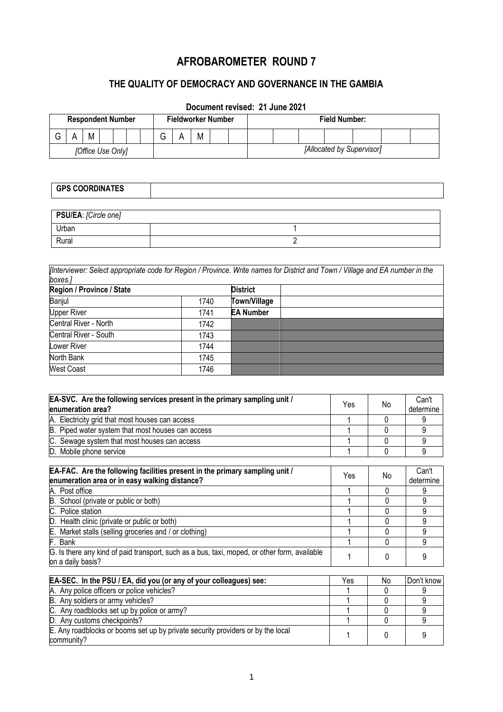# **AFROBAROMETER ROUND 7**

# **THE QUALITY OF DEMOCRACY AND GOVERNANCE IN THE GAMBIA**

# **Document revised: 21 June 2021**

| <b>Respondent Number</b> |  |   |  | <b>Fieldworker Number</b> |  |  | <b>Field Number:</b> |  |   |  |                           |  |  |  |  |  |  |
|--------------------------|--|---|--|---------------------------|--|--|----------------------|--|---|--|---------------------------|--|--|--|--|--|--|
|                          |  | M |  |                           |  |  | ⌒<br>ت               |  | M |  |                           |  |  |  |  |  |  |
| [Office Use Only]        |  |   |  |                           |  |  |                      |  |   |  | [Allocated by Supervisor] |  |  |  |  |  |  |

#### **GPS COORDINATES**

| PSU/EA: [Circle one] |  |
|----------------------|--|
| Urban                |  |
| Rural                |  |

*[Interviewer: Select appropriate code for Region / Province. Write names for District and Town / Village and EA number in the boxes.]*

| Region / Province / State |      | <b>District</b>     |  |
|---------------------------|------|---------------------|--|
| Banjul                    | 1740 | <b>Town/Village</b> |  |
| <b>Upper River</b>        | 1741 | <b>EA Number</b>    |  |
| Central River - North     | 1742 |                     |  |
| Central River - South     | 1743 |                     |  |
| Lower River               | 1744 |                     |  |
| North Bank                | 1745 |                     |  |
| <b>West Coast</b>         | 1746 |                     |  |

| EA-SVC. Are the following services present in the primary sampling unit /<br>enumeration area?                               | Yes | No | Can't<br>determine |
|------------------------------------------------------------------------------------------------------------------------------|-----|----|--------------------|
| A. Electricity grid that most houses can access                                                                              |     | 0  | 9                  |
| B. Piped water system that most houses can access                                                                            |     | 0  | 9                  |
| C. Sewage system that most houses can access                                                                                 |     | 0  | 9                  |
| D. Mobile phone service                                                                                                      |     | 0  | 9                  |
| EA-FAC. Are the following facilities present in the primary sampling unit /<br>enumeration area or in easy walking distance? | Yes | No | Can't<br>determine |
| A. Post office                                                                                                               |     | 0  | 9                  |
| B. School (private or public or both)                                                                                        |     | 0  | 9                  |
| C. Police station                                                                                                            |     | 0  | 9                  |
| D. Health clinic (private or public or both)                                                                                 |     | 0  | 9                  |
| E. Market stalls (selling groceries and / or clothing)                                                                       |     | 0  | 9                  |
| F. Bank                                                                                                                      |     | 0  | 9                  |
| G. Is there any kind of paid transport, such as a bus, taxi, moped, or other form, available<br>on a daily basis?            |     | 0  | 9                  |
|                                                                                                                              |     |    |                    |
| EA-SEC. In the PSU / EA, did you (or any of your colleagues) see:                                                            | Yes | No | Don't know         |
| A. Any police officers or police vehicles?                                                                                   |     | 0  | 9                  |
| B. Any soldiers or army vehicles?                                                                                            |     | 0  | 9                  |
| C. Any roadblocks set up by police or army?                                                                                  |     | 0  | 9                  |
| D. Any customs checkpoints?                                                                                                  |     | U  | 9                  |
| E. Any roadblocks or booms set up by private security providers or by the local<br>community?                                |     | 0  | 9                  |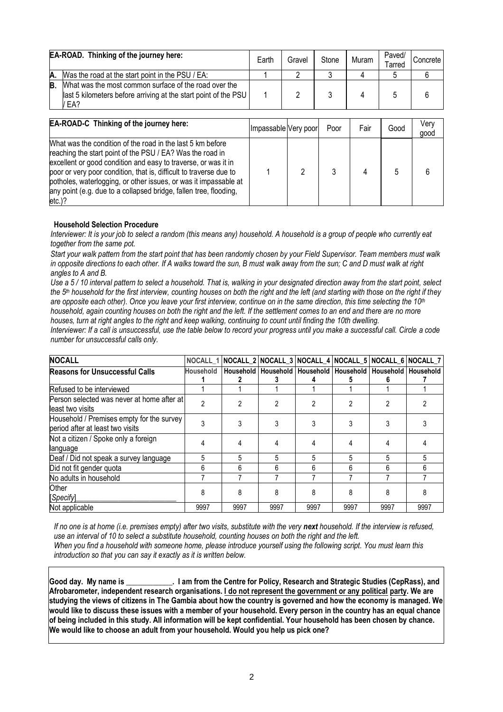| <b>EA-ROAD.</b> Thinking of the journey here: |                                                                                                                                   |  | Gravel | Stone | Muram | Paved/<br>Tarred | Concrete |
|-----------------------------------------------|-----------------------------------------------------------------------------------------------------------------------------------|--|--------|-------|-------|------------------|----------|
| А.                                            | Was the road at the start point in the PSU / EA:                                                                                  |  |        |       |       |                  |          |
| B.                                            | What was the most common surface of the road over the<br>last 5 kilometers before arriving at the start point of the PSU  <br>EA? |  |        |       |       |                  |          |

| <b>EA-ROAD-C</b> Thinking of the journey here:                                                                                                                                                                                                                                                                                                                                                                        | Impassable Very poor | Poor | Fair | Good | Very<br>good |
|-----------------------------------------------------------------------------------------------------------------------------------------------------------------------------------------------------------------------------------------------------------------------------------------------------------------------------------------------------------------------------------------------------------------------|----------------------|------|------|------|--------------|
| What was the condition of the road in the last 5 km before<br>reaching the start point of the PSU / EA? Was the road in<br>excellent or good condition and easy to traverse, or was it in<br>poor or very poor condition, that is, difficult to traverse due to<br>potholes, waterlogging, or other issues, or was it impassable at<br>any point (e.g. due to a collapsed bridge, fallen tree, flooding,<br>$etc.$ )? |                      |      |      |      |              |

#### **Household Selection Procedure**

*Interviewer: It is your job to select a random (this means any) household. A household is a group of people who currently eat together from the same pot.*

*Start your walk pattern from the start point that has been randomly chosen by your Field Supervisor. Team members must walk in opposite directions to each other. If A walks toward the sun, B must walk away from the sun; C and D must walk at right angles to A and B.*

*Use a 5 / 10 interval pattern to select a household. That is, walking in your designated direction away from the start point, select the 5th household for the first interview, counting houses on both the right and the left (and starting with those on the right if they are opposite each other). Once you leave your first interview, continue on in the same direction, this time selecting the 10th household, again counting houses on both the right and the left. If the settlement comes to an end and there are no more houses, turn at right angles to the right and keep walking, continuing to count until finding the 10th dwelling.*

*Interviewer: If a call is unsuccessful, use the table below to record your progress until you make a successful call. Circle a code number for unsuccessful calls only.*

| <b>NOCALL</b>                                                                 |                  |      |      |      | NOCALL_1 NOCALL_2 NOCALL_3 NOCALL_4 NOCALL_5 NOCALL_6 NOCALL_7   |      |      |
|-------------------------------------------------------------------------------|------------------|------|------|------|------------------------------------------------------------------|------|------|
| <b>Reasons for Unsuccessful Calls</b>                                         | <b>Household</b> |      |      |      | Household  Household  Household  Household  Household  Household |      |      |
| Refused to be interviewed                                                     |                  |      |      |      |                                                                  |      |      |
| Person selected was never at home after at<br>least two visits                | 2                |      | 2    |      |                                                                  |      |      |
| Household / Premises empty for the survey<br>period after at least two visits |                  |      |      |      |                                                                  |      |      |
| Not a citizen / Spoke only a foreign<br>language                              |                  |      |      |      |                                                                  |      |      |
| Deaf / Did not speak a survey language                                        | 5                | 5    | 5    | 5    | 5                                                                | 5    |      |
| Did not fit gender quota                                                      | 6                | 6    | h    | 6    | հ                                                                | 6    |      |
| No adults in household                                                        |                  |      |      |      |                                                                  |      |      |
| Other<br>[Specify]                                                            | 8                | 8    |      |      |                                                                  |      |      |
| Not applicable                                                                | 9997             | 9997 | 9997 | 9997 | 9997                                                             | 9997 | 9997 |

*If no one is at home (i.e. premises empty) after two visits, substitute with the very next household. If the interview is refused, use an interval of 10 to select a substitute household, counting houses on both the right and the left. When you find a household with someone home, please introduce yourself using the following script. You must learn this introduction so that you can say it exactly as it is written below.*

**Good day. My name is \_\_\_\_\_\_\_\_\_\_\_\_. I am from the Centre for Policy, Research and Strategic Studies (CepRass), and Afrobarometer, independent research organisations. I do not represent the government or any political party. We are studying the views of citizens in The Gambia about how the country is governed and how the economy is managed. We would like to discuss these issues with a member of your household. Every person in the country has an equal chance of being included in this study. All information will be kept confidential. Your household has been chosen by chance. We would like to choose an adult from your household. Would you help us pick one?**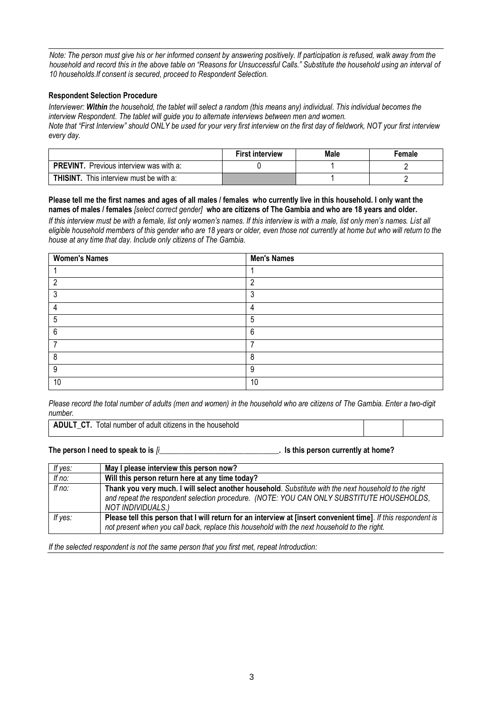*Note: The person must give his or her informed consent by answering positively. If participation is refused, walk away from the household and record this in the above table on "Reasons for Unsuccessful Calls." Substitute the household using an interval of 10 households.If consent is secured, proceed to Respondent Selection.*

#### **Respondent Selection Procedure**

*Interviewer: Within the household, the tablet will select a random (this means any) individual. This individual becomes the interview Respondent. The tablet will guide you to alternate interviews between men and women. Note that "First Interview" should ONLY be used for your very first interview on the first day of fieldwork, NOT your first interview every day.*

|                                                   | <b>First interview</b> | Male | Female |
|---------------------------------------------------|------------------------|------|--------|
| <b>PREVINT.</b> Previous interview was with a:    |                        |      |        |
| <b>THISINT.</b><br>This interview must be with a: |                        |      |        |

#### **Please tell me the first names and ages of all males / females who currently live in this household. I only want the names of males / females** *[select correct gender]* **who are citizens of The Gambia and who are 18 years and older.**

*If this interview must be with a female, list only women's names. If this interview is with a male, list only men's names. List all eligible household members of this gender who are 18 years or older, even those not currently at home but who will return to the house at any time that day. Include only citizens of The Gambia.*

| <b>Women's Names</b> | <b>Men's Names</b> |
|----------------------|--------------------|
|                      |                    |
| റ                    | c                  |
|                      | 3                  |
|                      | 4                  |
| 5                    | 5                  |
| 6                    | $6\phantom{1}6$    |
|                      | ⇁                  |
| 8                    | 8                  |
| 9                    | 9                  |
| 10                   | 10                 |

*Please record the total number of adults (men and women) in the household who are citizens of The Gambia. Enter a two-digit number.*

| <b>ADULT CT.</b> Total number of adult citizens in the household |  |
|------------------------------------------------------------------|--|
|------------------------------------------------------------------|--|

**The person I need to speak to is** *[i***\_\_\_\_\_\_\_\_\_\_\_\_\_\_\_\_\_\_\_\_\_\_\_\_\_\_\_\_\_\_\_. Is this person currently at home?**

| If yes: | May I please interview this person now?                                                                                                                                                                                 |
|---------|-------------------------------------------------------------------------------------------------------------------------------------------------------------------------------------------------------------------------|
| If no:  | Will this person return here at any time today?                                                                                                                                                                         |
| If no:  | Thank you very much. I will select another household. Substitute with the next household to the right<br>and repeat the respondent selection procedure. (NOTE: YOU CAN ONLY SUBSTITUTE HOUSEHOLDS,<br>NOT INDIVIDUALS.) |
| If yes: | Please tell this person that I will return for an interview at [insert convenient time]. If this respondent is<br>not present when you call back, replace this household with the next household to the right.          |

*If the selected respondent is not the same person that you first met, repeat Introduction:*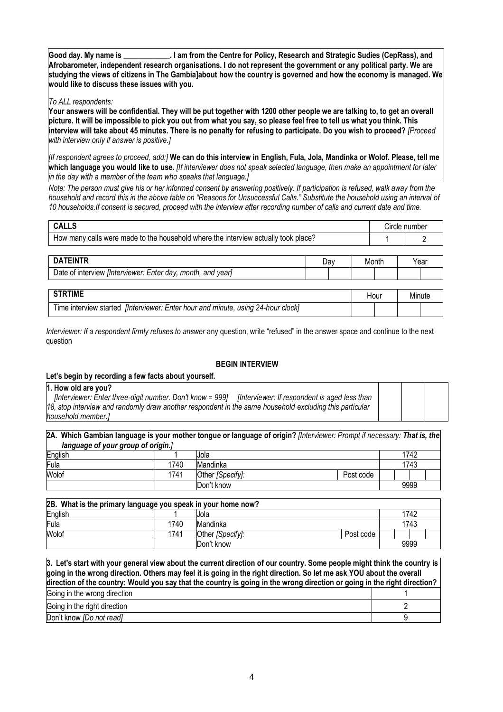**Good day. My name is \_\_\_\_\_\_\_\_\_\_\_\_. I am from the Centre for Policy, Research and Strategic Sudies (CepRass), and Afrobarometer, independent research organisations. I do not represent the government or any political party. We are studying the views of citizens in The Gambia]about how the country is governed and how the economy is managed. We would like to discuss these issues with you.**

#### *To ALL respondents:*

**Your answers will be confidential. They will be put together with 1200 other people we are talking to, to get an overall picture. It will be impossible to pick you out from what you say, so please feel free to tell us what you think. This interview will take about 45 minutes. There is no penalty for refusing to participate. Do you wish to proceed?** *[Proceed with interview only if answer is positive.]*

*[If respondent agrees to proceed, add:]* **We can do this interview in English, Fula, Jola, Mandinka or Wolof. Please, tell me which language you would like to use.** *[If interviewer does not speak selected language, then make an appointment for later in the day with a member of the team who speaks that language.]*

*Note: The person must give his or her informed consent by answering positively. If participation is refused, walk away from the household and record this in the above table on "Reasons for Unsuccessful Calls." Substitute the household using an interval of 10 households.If consent is secured, proceed with the interview after recording number of calls and current date and time.*

| <b>CALLS</b>                                                                       |     |  |       | Circle number |        |  |
|------------------------------------------------------------------------------------|-----|--|-------|---------------|--------|--|
| How many calls were made to the household where the interview actually took place? |     |  |       |               |        |  |
|                                                                                    |     |  |       |               |        |  |
| <b>DATEINTR</b>                                                                    | Day |  | Month | Year          |        |  |
| Date of interview [Interviewer: Enter day, month, and year]                        |     |  |       |               |        |  |
|                                                                                    |     |  |       |               |        |  |
| <b>STRTIME</b><br>Hour                                                             |     |  |       |               | Minute |  |
| Time interview started [Interviewer: Enter hour and minute, using 24-hour clock]   |     |  |       |               |        |  |

*Interviewer: If a respondent firmly refuses to answer* any question, write "refused" in the answer space and continue to the next question

#### **BEGIN INTERVIEW**

#### **Let's begin by recording a few facts about yourself.**

#### **1. How old are you?**

 *[Interviewer: Enter three-digit number. Don't know = 999] [Interviewer: If respondent is aged less than 18, stop interview and randomly draw another respondent in the same household excluding this particular household member.]*

**2A. Which Gambian language is your mother tongue or language of origin?** *[Interviewer: Prompt if necessary: That is, the language of your group of origin.]* 

| English |      | Jola             |           | 1742 |  |
|---------|------|------------------|-----------|------|--|
| Fula    | 1740 | Mandinka         |           | 1743 |  |
| Wolof   | 1741 | Other [Specify]: | Post code |      |  |
|         |      | Don't know       |           | 9999 |  |

| 2B. What is the primary language you speak in your home now? |      |                  |           |  |      |  |  |  |
|--------------------------------------------------------------|------|------------------|-----------|--|------|--|--|--|
| English                                                      |      | Jola             |           |  | 1742 |  |  |  |
| Fula                                                         | 1740 | Mandinka         |           |  | 1743 |  |  |  |
| Wolof                                                        | 1741 | Other [Specify]: | Post code |  |      |  |  |  |
|                                                              |      | Don't know       |           |  | 9999 |  |  |  |

**3. Let's start with your general view about the current direction of our country. Some people might think the country is going in the wrong direction. Others may feel it is going in the right direction. So let me ask YOU about the overall direction of the country: Would you say that the country is going in the wrong direction or going in the right direction?** Going in the wrong direction **1** and 1 and 1 and 1 and 1 and 1 and 1 and 1 and 1 and 1 and 1 and 1 and 1 and 1 and 1 and 1 and 1 and 1 and 1 and 1 and 1 and 1 and 1 and 1 and 1 and 1 and 1 and 1 and 1 and 1 and 1 and 1 and Going in the right direction **2** and 2 and 2 and 2 and 2 and 2 and 2 and 2 and 2 and 2 and 2 and 2 and 2 and 2 and 2 and 2 and 2 and 2 and 2 and 2 and 2 and 2 and 2 and 2 and 2 and 2 and 2 and 2 and 2 and 2 and 2 and 2 and Don't know *[Do not read]* 9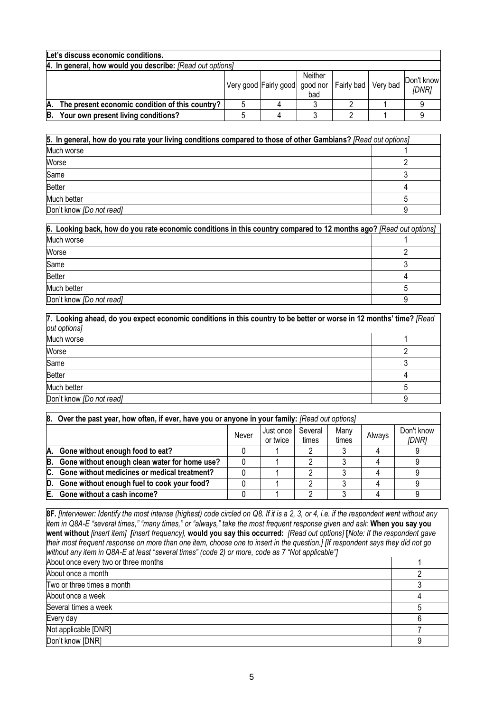|    | Let's discuss economic conditions.                        |  |                                                          |                |  |  |                     |  |  |
|----|-----------------------------------------------------------|--|----------------------------------------------------------|----------------|--|--|---------------------|--|--|
|    | 4. In general, how would you describe: [Read out options] |  |                                                          |                |  |  |                     |  |  |
|    |                                                           |  | Very good Fairly good   good nor   Fairly bad   Very bad | Neither<br>bad |  |  | Don't know<br>[DNR] |  |  |
| А. | The present economic condition of this country?           |  |                                                          |                |  |  |                     |  |  |
| В. | Your own present living conditions?                       |  |                                                          |                |  |  |                     |  |  |

| 5. In general, how do you rate your living conditions compared to those of other Gambians? [Read out options] |  |  |  |  |
|---------------------------------------------------------------------------------------------------------------|--|--|--|--|
| Much worse                                                                                                    |  |  |  |  |
| Worse                                                                                                         |  |  |  |  |
| Same                                                                                                          |  |  |  |  |
| <b>Better</b>                                                                                                 |  |  |  |  |
| Much better                                                                                                   |  |  |  |  |
| Don't know [Do not read]                                                                                      |  |  |  |  |

| 6. Looking back, how do you rate economic conditions in this country compared to 12 months ago? [Read out options] |  |
|--------------------------------------------------------------------------------------------------------------------|--|
| Much worse                                                                                                         |  |
| Worse                                                                                                              |  |
| Same                                                                                                               |  |
| <b>Better</b>                                                                                                      |  |
| Much better                                                                                                        |  |
| Don't know [Do not read]                                                                                           |  |

| 7. Looking ahead, do you expect economic conditions in this country to be better or worse in 12 months' time? [Read<br>out options] |  |  |  |  |
|-------------------------------------------------------------------------------------------------------------------------------------|--|--|--|--|
| Much worse                                                                                                                          |  |  |  |  |
| Worse                                                                                                                               |  |  |  |  |
| Same                                                                                                                                |  |  |  |  |
| <b>Better</b>                                                                                                                       |  |  |  |  |
| Much better                                                                                                                         |  |  |  |  |
| Don't know [Do not read]                                                                                                            |  |  |  |  |

|     | 8. Over the past year, how often, if ever, have you or anyone in your family: [Read out options] |       |                       |                  |               |        |                     |  |  |
|-----|--------------------------------------------------------------------------------------------------|-------|-----------------------|------------------|---------------|--------|---------------------|--|--|
|     |                                                                                                  | Never | Just once<br>or twice | Several<br>times | Many<br>times | Always | Don't know<br>[DNR] |  |  |
| А.  | Gone without enough food to eat?                                                                 |       |                       |                  |               |        |                     |  |  |
| В.  | Gone without enough clean water for home use?                                                    |       |                       |                  |               |        |                     |  |  |
| IC. | Gone without medicines or medical treatment?                                                     |       |                       |                  |               |        |                     |  |  |
| D.  | Gone without enough fuel to cook your food?                                                      |       |                       |                  |               |        |                     |  |  |
| E.  | Gone without a cash income?                                                                      |       |                       |                  |               |        |                     |  |  |

**8F.** *[Interviewer: Identify the most intense (highest) code circled on Q8. If it is a 2, 3, or 4, i.e. if the respondent went without any item in Q8A-E "several times," "many times," or "always," take the most frequent response given and ask:* **When you say you went without** *[insert item] [insert frequency],* **would you say this occurred:** *[Read out options]* **[***Note: If the respondent gave their most frequent response on more than one item, choose one to insert in the question.] [If respondent says they did not go without any item in Q8A-E at least "several times" (code 2) or more, code as 7 "Not applicable"]*

| About once every two or three months |  |
|--------------------------------------|--|
| About once a month                   |  |
| Two or three times a month           |  |
| About once a week                    |  |
| Several times a week                 |  |
| Every day                            |  |
| Not applicable [DNR]                 |  |
| Don't know [DNR]                     |  |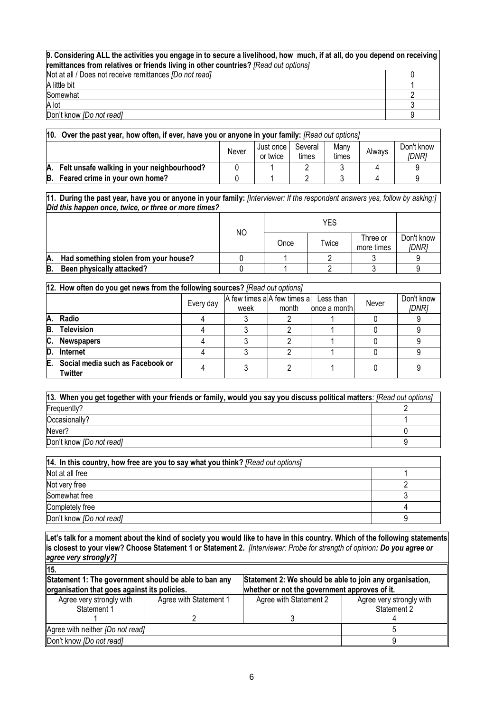#### **9. Considering ALL the activities you engage in to secure a livelihood, how much, if at all, do you depend on receiving remittances from relatives or friends living in other countries?** *[Read out options]* Not at all / Does not receive remittances *[Do not read]* 0 A little bit 1 and 1 and 1 and 1 and 1 and 1 and 1 and 1 and 1 and 1 and 1 and 1 and 1 and 1 and 1 and 1 and 1 Somewhat 2012 **2013**

A lot  $\begin{array}{ccc} \text{A} & \text{A} & \text{B} \end{array}$ Don't know *[Do not read]* 9

| 10. | Over the past year, how often, if ever, have you or anyone in your family: [Read out options] |  |  |  |  |  |                     |  |  |  |  |
|-----|-----------------------------------------------------------------------------------------------|--|--|--|--|--|---------------------|--|--|--|--|
|     | Many<br>Several<br>Just once<br>Always<br>Never<br>times<br>or twice<br>times                 |  |  |  |  |  | Don't know<br>IDNR1 |  |  |  |  |
|     | A. Felt unsafe walking in your neighbourhood?                                                 |  |  |  |  |  |                     |  |  |  |  |
| B.  | Feared crime in your own home?                                                                |  |  |  |  |  |                     |  |  |  |  |

**11. During the past year, have you or anyone in your family:** *[Interviewer: If the respondent answers yes, follow by asking:] Did this happen once, twice, or three or more times?*

|    |                                       |    |      | YES   |                        |                     |
|----|---------------------------------------|----|------|-------|------------------------|---------------------|
|    |                                       | ΝO | Once | Twice | Three or<br>more times | Don't know<br>IDNR1 |
| Α. | Had something stolen from your house? |    |      |       |                        |                     |
| B. | Been physically attacked?             |    |      |       |                        |                     |

|    | 12. How often do you get news from the following sources? [Read out options] |           |                                     |                         |                     |  |  |  |  |  |
|----|------------------------------------------------------------------------------|-----------|-------------------------------------|-------------------------|---------------------|--|--|--|--|--|
|    |                                                                              | Every day | A few times a A few times a<br>week | Never<br>lonce a monthl | Don't know<br>[DNR] |  |  |  |  |  |
|    | A. Radio                                                                     |           |                                     |                         |                     |  |  |  |  |  |
| B. | <b>Television</b>                                                            |           |                                     |                         |                     |  |  |  |  |  |
| C. | <b>Newspapers</b>                                                            |           |                                     |                         |                     |  |  |  |  |  |
| D. | Internet                                                                     |           |                                     |                         |                     |  |  |  |  |  |
| Е. | Social media such as Facebook or<br>Twitter                                  |           |                                     |                         |                     |  |  |  |  |  |

| [13. When you get together with your friends or family, would you say you discuss political matters: [Read out options] |  |  |  |  |  |
|-------------------------------------------------------------------------------------------------------------------------|--|--|--|--|--|
| Frequently?                                                                                                             |  |  |  |  |  |
| Occasionally?                                                                                                           |  |  |  |  |  |
| Never?                                                                                                                  |  |  |  |  |  |
| Don't know [Do not read]                                                                                                |  |  |  |  |  |

| 14. In this country, how free are you to say what you think? [Read out options] |  |
|---------------------------------------------------------------------------------|--|
| Not at all free                                                                 |  |
| Not very free                                                                   |  |
| Somewhat free                                                                   |  |
| Completely free                                                                 |  |
| Don't know [Do not read]                                                        |  |

**Let's talk for a moment about the kind of society you would like to have in this country. Which of the following statements is closest to your view? Choose Statement 1 or Statement 2.** *[Interviewer: Probe for strength of opinion: Do you agree or agree very strongly?]*

| $\vert$ 15.                                           |                                               |                                                          |                                         |  |  |
|-------------------------------------------------------|-----------------------------------------------|----------------------------------------------------------|-----------------------------------------|--|--|
| Statement 1: The government should be able to ban any |                                               | Statement 2: We should be able to join any organisation, |                                         |  |  |
| organisation that goes against its policies.          | whether or not the government approves of it. |                                                          |                                         |  |  |
| Agree very strongly with<br>Statement 1               | Agree with Statement 1                        | Agree with Statement 2                                   | Agree very strongly with<br>Statement 2 |  |  |
|                                                       |                                               |                                                          |                                         |  |  |
| Agree with neither <i>[Do not read]</i>               |                                               |                                                          |                                         |  |  |
| Don't know [Do not read]                              |                                               |                                                          |                                         |  |  |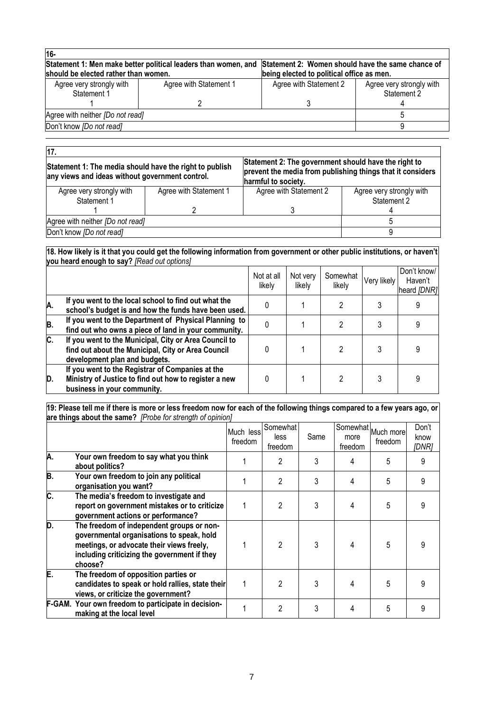| 16-                                                                                                                                                      |                        |                                           |                                         |
|----------------------------------------------------------------------------------------------------------------------------------------------------------|------------------------|-------------------------------------------|-----------------------------------------|
| Statement 1: Men make better political leaders than women, and Statement 2: Women should have the same chance of<br>should be elected rather than women. |                        |                                           |                                         |
|                                                                                                                                                          |                        | being elected to political office as men. |                                         |
| Agree very strongly with<br>Statement 1                                                                                                                  | Agree with Statement 1 | Agree with Statement 2                    | Agree very strongly with<br>Statement 2 |
|                                                                                                                                                          |                        |                                           |                                         |
| Agree with neither <i>[Do not read]</i>                                                                                                                  |                        |                                           |                                         |
| Don't know [Do not read]                                                                                                                                 |                        |                                           |                                         |
|                                                                                                                                                          |                        |                                           |                                         |

| 17.                                                                                                        |                        |                                                                                                                                           |                                         |  |
|------------------------------------------------------------------------------------------------------------|------------------------|-------------------------------------------------------------------------------------------------------------------------------------------|-----------------------------------------|--|
| Statement 1: The media should have the right to publish<br>any views and ideas without government control. |                        | Statement 2: The government should have the right to<br>prevent the media from publishing things that it considers<br>harmful to society. |                                         |  |
| Agree very strongly with<br>Statement 1                                                                    | Agree with Statement 1 | Agree with Statement 2                                                                                                                    | Agree very strongly with<br>Statement 2 |  |
|                                                                                                            |                        |                                                                                                                                           |                                         |  |
| Agree with neither [Do not read]                                                                           |                        |                                                                                                                                           |                                         |  |
| Don't know [Do not read]                                                                                   |                        |                                                                                                                                           |                                         |  |

#### **18. How likely is it that you could get the following information from government or other public institutions, or haven't you heard enough to say?** *[Read out options]*

|    |                                                                                                                                              | Not at all<br>likely | Not very<br>likely | Somewhat<br>likely | Very likely | Don't know/<br>Haven't<br>heard [DNR] |
|----|----------------------------------------------------------------------------------------------------------------------------------------------|----------------------|--------------------|--------------------|-------------|---------------------------------------|
| Α. | If you went to the local school to find out what the<br>school's budget is and how the funds have been used.                                 | 0                    |                    | າ                  |             |                                       |
| B. | If you went to the Department of Physical Planning to<br>find out who owns a piece of land in your community.                                | N                    |                    |                    |             |                                       |
| C. | If you went to the Municipal, City or Area Council to<br>find out about the Municipal, City or Area Council<br>development plan and budgets. |                      |                    |                    |             |                                       |
| D. | If you went to the Registrar of Companies at the<br>Ministry of Justice to find out how to register a new<br>business in your community.     |                      |                    |                    |             |                                       |

#### **19: Please tell me if there is more or less freedom now for each of the following things compared to a few years ago, or are things about the same?** *[Probe for strength of opinion]*

|    |                                                                                                                                                                                                | Much less<br>freedom | Somewhat<br>less<br>freedom | Same | Somewhat<br>more<br>freedom | Much more<br>freedom | Don't<br>know<br>[DNR] |
|----|------------------------------------------------------------------------------------------------------------------------------------------------------------------------------------------------|----------------------|-----------------------------|------|-----------------------------|----------------------|------------------------|
| A. | Your own freedom to say what you think<br>about politics?                                                                                                                                      |                      | 2                           | 3    |                             | 5                    | 9                      |
| B. | Your own freedom to join any political<br>organisation you want?                                                                                                                               |                      | $\overline{2}$              | 3    | 4                           | 5                    | 9                      |
| C. | The media's freedom to investigate and<br>report on government mistakes or to criticize<br>government actions or performance?                                                                  |                      | $\mathfrak{p}$              | 3    |                             | 5                    | 9                      |
| D. | The freedom of independent groups or non-<br>governmental organisations to speak, hold<br>meetings, or advocate their views freely,<br>including criticizing the government if they<br>choose? |                      | $\mathfrak{p}$              | 3    |                             | 5                    | 9                      |
| E. | The freedom of opposition parties or<br>candidates to speak or hold rallies, state their<br>views, or criticize the government?                                                                |                      | $\mathfrak{p}$              | 3    | 4                           | 5                    | 9                      |
|    | F-GAM. Your own freedom to participate in decision-<br>making at the local level                                                                                                               |                      | $\overline{2}$              | 3    |                             | 5                    | 9                      |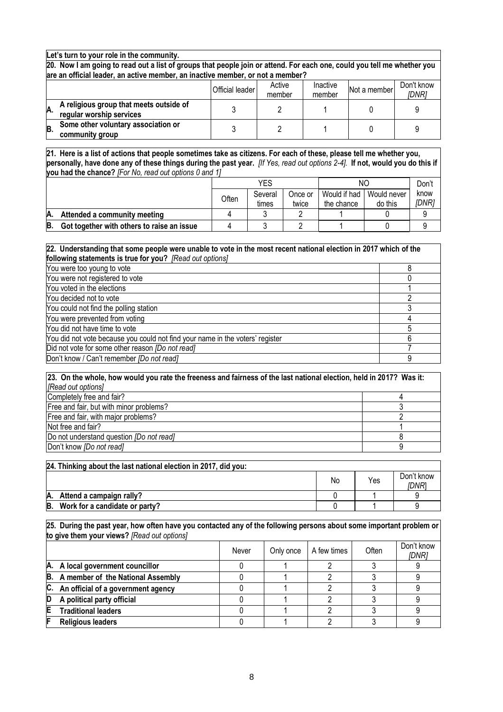**Let's turn to your role in the community.**

**20. Now I am going to read out a list of groups that people join or attend. For each one, could you tell me whether you are an official leader, an active member, an inactive member, or not a member?**

|    |                                                                     | <b>Official leader</b> | Active<br>member | Inactive<br>member | Not a member | Don't know<br>IDNR1 |
|----|---------------------------------------------------------------------|------------------------|------------------|--------------------|--------------|---------------------|
| A. | A religious group that meets outside of<br>regular worship services |                        |                  |                    |              |                     |
| B. | Some other voluntary association or<br>community group              |                        |                  |                    |              |                     |

**21. Here is a list of actions that people sometimes take as citizens. For each of these, please tell me whether you, personally, have done any of these things during the past year.** *[If Yes, read out options 2-4].* **If not, would you do this if you had the chance?** *[For No, read out options 0 and 1]*

|    |                                            |       | YES              |                  | ΝC                         | Don't                  |               |
|----|--------------------------------------------|-------|------------------|------------------|----------------------------|------------------------|---------------|
|    |                                            | Often | Several<br>times | Once or<br>twice | Would if had<br>the chance | Would never<br>do this | know<br>[DNR] |
| А. | Attended a community meeting               |       |                  |                  |                            |                        |               |
| В. | Got together with others to raise an issue |       |                  |                  |                            |                        |               |

| 22. Understanding that some people were unable to vote in the most recent national election in 2017 which of the |  |
|------------------------------------------------------------------------------------------------------------------|--|
| following statements is true for you? [Read out options]                                                         |  |
|                                                                                                                  |  |

| You were too young to vote                                                    |  |
|-------------------------------------------------------------------------------|--|
| You were not registered to vote                                               |  |
| You voted in the elections                                                    |  |
| You decided not to vote                                                       |  |
| You could not find the polling station                                        |  |
| You were prevented from voting                                                |  |
| You did not have time to vote                                                 |  |
| You did not vote because you could not find your name in the voters' register |  |
| Did not vote for some other reason <i>[Do not read]</i>                       |  |
| Don't know / Can't remember [Do not read]                                     |  |

| 23. On the whole, how would you rate the freeness and fairness of the last national election, held in 2017? Was it: |  |
|---------------------------------------------------------------------------------------------------------------------|--|
| [Read out options]                                                                                                  |  |
| Completely free and fair?                                                                                           |  |
| Free and fair, but with minor problems?                                                                             |  |
| Free and fair, with major problems?                                                                                 |  |
| Not free and fair?                                                                                                  |  |
| Do not understand question <i>[Do not read]</i>                                                                     |  |
| Don't know [Do not read]                                                                                            |  |

|    | 24. Thinking about the last national election in 2017, did you: |    |     |                     |
|----|-----------------------------------------------------------------|----|-----|---------------------|
|    |                                                                 | No | Yes | Don't know<br>IDNR' |
| Ά. | Attend a campaign rally?                                        |    |     |                     |
| B. | Work for a candidate or party?                                  |    |     |                     |

**25. During the past year, how often have you contacted any of the following persons about some important problem or to give them your views?** *[Read out options]*

|                                       | Never | Only once | A few times | Often | Don't know<br>[DNR] |
|---------------------------------------|-------|-----------|-------------|-------|---------------------|
| A. A local government councillor      |       |           |             |       |                     |
| B. A member of the National Assembly  |       |           |             |       |                     |
| C. An official of a government agency |       |           |             |       |                     |
| A political party official            |       |           |             |       |                     |
| <b>Traditional leaders</b>            |       |           |             |       |                     |
| <b>Religious leaders</b>              |       |           |             |       |                     |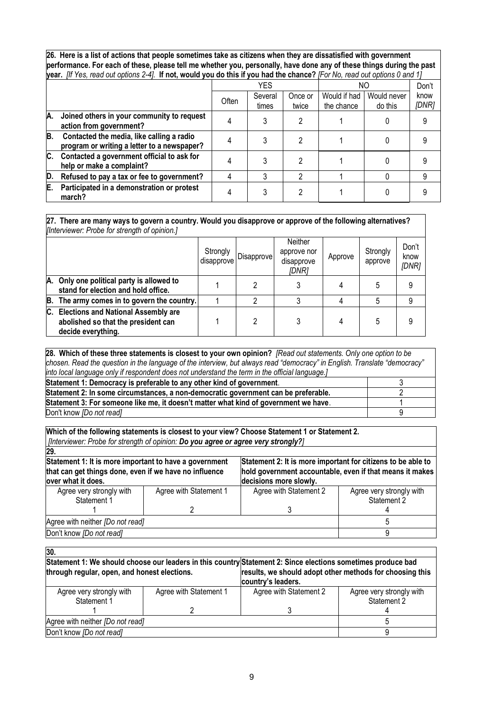**26. Here is a list of actions that people sometimes take as citizens when they are dissatisfied with government performance. For each of these, please tell me whether you, personally, have done any of these things during the past year.** *[If Yes, read out options 2-4].* **If not, would you do this if you had the chance?** *[For No, read out options 0 and 1]*

|     |                                                                                          | YES   |                  | NΟ               |                            | Don't                  |               |
|-----|------------------------------------------------------------------------------------------|-------|------------------|------------------|----------------------------|------------------------|---------------|
|     |                                                                                          | Often | Several<br>times | Once or<br>twice | Would if had<br>the chance | Would never<br>do this | know<br>[DNR] |
| IA. | Joined others in your community to request<br>action from government?                    |       |                  |                  |                            |                        |               |
| B.  | Contacted the media, like calling a radio<br>program or writing a letter to a newspaper? |       |                  |                  |                            |                        |               |
| C.  | Contacted a government official to ask for<br>help or make a complaint?                  |       |                  |                  |                            |                        |               |
| D.  | Refused to pay a tax or fee to government?                                               |       |                  |                  |                            |                        |               |
| E.  | Participated in a demonstration or protest<br>march?                                     |       |                  |                  |                            |                        |               |

**27. There are many ways to govern a country. Would you disapprove or approve of the following alternatives?**  *[Interviewer: Probe for strength of opinion.]*

|    |                                                                                                         | Strongly<br>disapprove | Disapprove | Neither<br>approve nor<br>disapprove<br>[DNR] | Approve | Strongly<br>approve | Don't<br>know<br>[DNR] |  |
|----|---------------------------------------------------------------------------------------------------------|------------------------|------------|-----------------------------------------------|---------|---------------------|------------------------|--|
|    | A. Only one political party is allowed to<br>stand for election and hold office.                        |                        |            |                                               |         |                     | 9                      |  |
|    | B. The army comes in to govern the country.                                                             |                        |            |                                               |         |                     | 9                      |  |
| С. | <b>Elections and National Assembly are</b><br>abolished so that the president can<br>decide everything. |                        |            |                                               |         |                     | 9                      |  |

**28. Which of these three statements is closest to your own opinion?** *[Read out statements. Only one option to be chosen. Read the question in the language of the interview, but always read "democracy" in English. Translate "democracy" into local language only if respondent does not understand the term in the official language.]*

| Statement 1: Democracy is preferable to any other kind of government.                |  |
|--------------------------------------------------------------------------------------|--|
| Statement 2: In some circumstances, a non-democratic government can be preferable.   |  |
| Statement 3: For someone like me, it doesn't matter what kind of government we have. |  |
| Don't know [Do not read]                                                             |  |

**Which of the following statements is closest to your view? Choose Statement 1 or Statement 2.**  *[Interviewer: Probe for strength of opinion: Do you agree or agree very strongly?]*

| 29.                                                                                                                                    |                        |                                                                                                                                                    |                                         |  |
|----------------------------------------------------------------------------------------------------------------------------------------|------------------------|----------------------------------------------------------------------------------------------------------------------------------------------------|-----------------------------------------|--|
| Statement 1: It is more important to have a government<br>that can get things done, even if we have no influence<br>over what it does. |                        | Statement 2: It is more important for citizens to be able to<br>hold government accountable, even if that means it makes<br>decisions more slowly. |                                         |  |
| Agree very strongly with<br>Statement 1                                                                                                | Agree with Statement 1 | Agree with Statement 2                                                                                                                             | Agree very strongly with<br>Statement 2 |  |
|                                                                                                                                        |                        |                                                                                                                                                    |                                         |  |
| Agree with neither [Do not read]                                                                                                       |                        |                                                                                                                                                    |                                         |  |
| Don't know [Do not read]                                                                                                               |                        |                                                                                                                                                    |                                         |  |

| 30.                                                                                                          |                        |                                                                                |                                         |
|--------------------------------------------------------------------------------------------------------------|------------------------|--------------------------------------------------------------------------------|-----------------------------------------|
| Statement 1: We should choose our leaders in this country Statement 2: Since elections sometimes produce bad |                        |                                                                                |                                         |
| through regular, open, and honest elections.                                                                 |                        | results, we should adopt other methods for choosing this<br>country's leaders. |                                         |
| Agree very strongly with<br>Statement 1                                                                      | Agree with Statement 1 | Agree with Statement 2                                                         | Agree very strongly with<br>Statement 2 |
|                                                                                                              |                        |                                                                                |                                         |
| Agree with neither [Do not read]                                                                             |                        |                                                                                |                                         |
| Don't know [Do not read]                                                                                     |                        |                                                                                |                                         |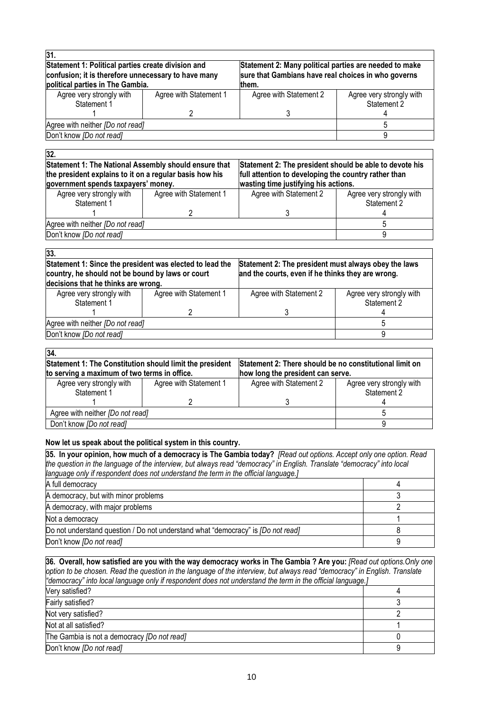| Statement 1: Political parties create division and<br>confusion; it is therefore unnecessary to have many<br>political parties in The Gambia. |                        | Statement 2: Many political parties are needed to make<br>sure that Gambians have real choices in who governs<br>them. |                                         |  |
|-----------------------------------------------------------------------------------------------------------------------------------------------|------------------------|------------------------------------------------------------------------------------------------------------------------|-----------------------------------------|--|
| Agree very strongly with<br>Statement 1                                                                                                       | Agree with Statement 1 | Agree with Statement 2                                                                                                 | Agree very strongly with<br>Statement 2 |  |
|                                                                                                                                               |                        |                                                                                                                        |                                         |  |
| Agree with neither [Do not read]                                                                                                              |                        |                                                                                                                        |                                         |  |
| Don't know [Do not read]                                                                                                                      |                        |                                                                                                                        |                                         |  |

| 32.                                                                                                             |                                                         |                                      |                          |
|-----------------------------------------------------------------------------------------------------------------|---------------------------------------------------------|--------------------------------------|--------------------------|
| Statement 1: The National Assembly should ensure that                                                           | Statement 2: The president should be able to devote his |                                      |                          |
| full attention to developing the country rather than<br>the president explains to it on a regular basis how his |                                                         |                                      |                          |
| government spends taxpayers' money.                                                                             |                                                         | wasting time justifying his actions. |                          |
| Agree very strongly with                                                                                        | Agree with Statement 1                                  | Agree with Statement 2               | Agree very strongly with |
| Statement 1                                                                                                     |                                                         |                                      | Statement 2              |
|                                                                                                                 |                                                         |                                      |                          |
| Agree with neither [Do not read]                                                                                |                                                         |                                      |                          |
| Don't know [Do not read]                                                                                        |                                                         |                                      |                          |
|                                                                                                                 |                                                         |                                      |                          |

| 33.                                                                                                                                                 |                        |                                                                                                           |                                         |
|-----------------------------------------------------------------------------------------------------------------------------------------------------|------------------------|-----------------------------------------------------------------------------------------------------------|-----------------------------------------|
| Statement 1: Since the president was elected to lead the<br>country, he should not be bound by laws or court<br>decisions that he thinks are wrong. |                        | Statement 2: The president must always obey the laws<br>and the courts, even if he thinks they are wrong. |                                         |
| Agree very strongly with<br>Statement 1                                                                                                             | Agree with Statement 1 | Agree with Statement 2                                                                                    | Agree very strongly with<br>Statement 2 |
|                                                                                                                                                     |                        |                                                                                                           |                                         |
| Agree with neither [Do not read]                                                                                                                    |                        |                                                                                                           |                                         |
| Don't know [Do not read]                                                                                                                            |                        |                                                                                                           |                                         |

| Statement 1: The Constitution should limit the president |                        |                                                                                                     |  |  |
|----------------------------------------------------------|------------------------|-----------------------------------------------------------------------------------------------------|--|--|
| to serving a maximum of two terms in office.             |                        |                                                                                                     |  |  |
| Agree with Statement 1                                   | Agree with Statement 2 | Agree very strongly with<br>Statement 2                                                             |  |  |
|                                                          |                        |                                                                                                     |  |  |
| Agree with neither [Do not read]                         |                        |                                                                                                     |  |  |
| Don't know [Do not read]                                 |                        |                                                                                                     |  |  |
|                                                          |                        | <b>Statement 2: There should be no constitutional limit on</b><br>how long the president can serve. |  |  |

#### **Now let us speak about the political system in this country.**

| 35. In your opinion, how much of a democracy is The Gambia today? [Read out options. Accept only one option. Read       |  |  |  |  |
|-------------------------------------------------------------------------------------------------------------------------|--|--|--|--|
| the question in the language of the interview, but always read "democracy" in English. Translate "democracy" into local |  |  |  |  |
| language only if respondent does not understand the term in the official language.]                                     |  |  |  |  |
| A full democracy                                                                                                        |  |  |  |  |
| A democracy, but with minor problems                                                                                    |  |  |  |  |
| A democracy, with major problems                                                                                        |  |  |  |  |
| Not a democracy                                                                                                         |  |  |  |  |
| Do not understand question / Do not understand what "democracy" is <i>[Do not read]</i>                                 |  |  |  |  |
| Don't know [Do not read]                                                                                                |  |  |  |  |

**36. Overall, how satisfied are you with the way democracy works in The Gambia ? Are you:** *[Read out options.Only one option to be chosen. Read the question in the language of the interview, but always read "democracy" in English. Translate "democracy" into local language only if respondent does not understand the term in the official language.]* Very satisfied? 4 Fairly satisfied? 3 Not very satisfied? 2 Not at all satisfied? 1 The Gambia is not a democracy *[Do not read]* 0 Don't know *[Do not read]* 9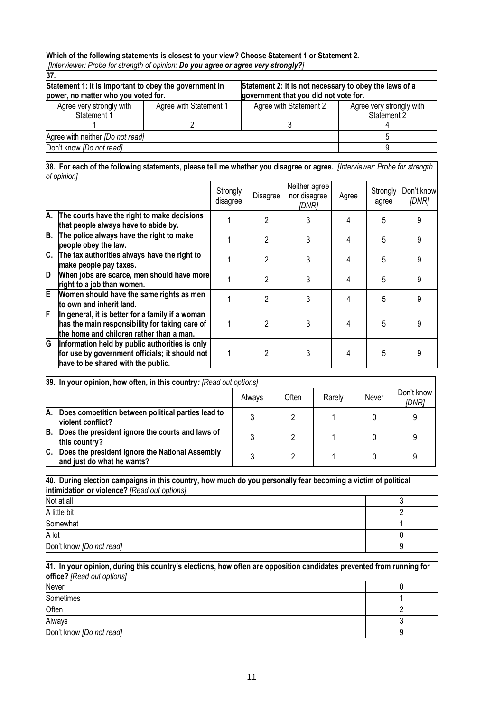| Which of the following statements is closest to your view? Choose Statement 1 or Statement 2.<br>[?] [Interviewer: Probe for strength of opinion: Do you agree or agree very strongly |                                                                                                 |                        |                                         |  |  |
|---------------------------------------------------------------------------------------------------------------------------------------------------------------------------------------|-------------------------------------------------------------------------------------------------|------------------------|-----------------------------------------|--|--|
| 37.                                                                                                                                                                                   |                                                                                                 |                        |                                         |  |  |
| Statement 1: It is important to obey the government in<br>power, no matter who you voted for.                                                                                         | Statement 2: It is not necessary to obey the laws of a<br>government that you did not vote for. |                        |                                         |  |  |
| Agree very strongly with<br>Statement 1                                                                                                                                               | Agree with Statement 1                                                                          | Agree with Statement 2 | Agree very strongly with<br>Statement 2 |  |  |
|                                                                                                                                                                                       |                                                                                                 |                        |                                         |  |  |
| Agree with neither [Do not read]                                                                                                                                                      |                                                                                                 |                        |                                         |  |  |
| Don't know [Do not read]                                                                                                                                                              |                                                                                                 |                        |                                         |  |  |

#### **38. For each of the following statements, please tell me whether you disagree or agree.** *[Interviewer: Probe for strength of opinion]*

|    |                                                                                                                                                | Strongly<br>disagree | Disagree       | Neither agree<br>nor disagree<br>IDNR1 | Agree | Strongly<br>agree | Don't know<br>[DNR] |
|----|------------------------------------------------------------------------------------------------------------------------------------------------|----------------------|----------------|----------------------------------------|-------|-------------------|---------------------|
| A. | The courts have the right to make decisions<br>that people always have to abide by.                                                            |                      | $\mathfrak{p}$ | 3                                      | 4     | 5                 | 9                   |
| В. | The police always have the right to make<br>people obey the law.                                                                               |                      | 2              | 3                                      | 4     | 5                 | 9                   |
| C. | The tax authorities always have the right to<br>make people pay taxes.                                                                         |                      | 2              | 3                                      | 4     | 5                 | 9                   |
| D  | When jobs are scarce, men should have more<br>right to a job than women.                                                                       |                      | 2              | 3                                      | 4     | 5                 | 9                   |
| E  | Women should have the same rights as men<br>to own and inherit land.                                                                           |                      | 2              | 3                                      | 4     | 5                 | 9                   |
| F  | In general, it is better for a family if a woman<br>has the main responsibility for taking care of<br>the home and children rather than a man. |                      | 2              | 3                                      |       | 5                 |                     |
| G  | Information held by public authorities is only<br>for use by government officials; it should not<br>have to be shared with the public.         |                      |                | 3                                      | 4     | 5                 |                     |

|    | 39. In your opinion, how often, in this country: [Read out options]           |  |  |  |  |  |  |  |  |  |  |
|----|-------------------------------------------------------------------------------|--|--|--|--|--|--|--|--|--|--|
|    | Often<br>Never<br>Rarely<br>Always                                            |  |  |  |  |  |  |  |  |  |  |
| А. | Does competition between political parties lead to<br>violent conflict?       |  |  |  |  |  |  |  |  |  |  |
| B. | Does the president ignore the courts and laws of<br>this country?             |  |  |  |  |  |  |  |  |  |  |
| C. | Does the president ignore the National Assembly<br>and just do what he wants? |  |  |  |  |  |  |  |  |  |  |

| 40. During election campaigns in this country, how much do you personally fear becoming a victim of political<br>intimidation or violence? [Read out options] |  |  |  |  |  |
|---------------------------------------------------------------------------------------------------------------------------------------------------------------|--|--|--|--|--|
| Not at all                                                                                                                                                    |  |  |  |  |  |
| A little bit                                                                                                                                                  |  |  |  |  |  |
| Somewhat                                                                                                                                                      |  |  |  |  |  |
| A lot                                                                                                                                                         |  |  |  |  |  |
| Don't know <i>[Do not read]</i>                                                                                                                               |  |  |  |  |  |

| 41. In your opinion, during this country's elections, how often are opposition candidates prevented from running for<br>office? [Read out options] |  |  |  |  |
|----------------------------------------------------------------------------------------------------------------------------------------------------|--|--|--|--|
| <b>Never</b>                                                                                                                                       |  |  |  |  |
| Sometimes                                                                                                                                          |  |  |  |  |
| Often                                                                                                                                              |  |  |  |  |
| Always                                                                                                                                             |  |  |  |  |
| Don't know [Do not read]                                                                                                                           |  |  |  |  |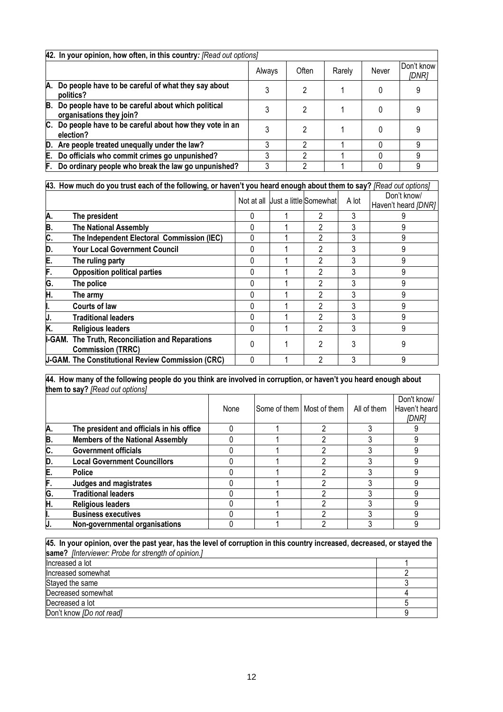|    | 42. In your opinion, how often, in this country: [Read out options]            |        |       |        |       |                     |  |  |  |  |  |
|----|--------------------------------------------------------------------------------|--------|-------|--------|-------|---------------------|--|--|--|--|--|
|    |                                                                                | Always | Often | Rarely | Never | Don't know<br>[DNR] |  |  |  |  |  |
| A. | Do people have to be careful of what they say about<br>politics?               |        | 2     |        |       |                     |  |  |  |  |  |
| B. | Do people have to be careful about which political<br>organisations they join? |        | 2     |        |       |                     |  |  |  |  |  |
|    | C. Do people have to be careful about how they vote in an<br>election?         |        | 2     |        |       |                     |  |  |  |  |  |
|    | D. Are people treated unequally under the law?                                 |        | ົ     |        |       |                     |  |  |  |  |  |
| E. | Do officials who commit crimes go unpunished?                                  |        | າ     |        |       | g                   |  |  |  |  |  |
| F. | Do ordinary people who break the law go unpunished?                            |        | ົ     |        |       |                     |  |  |  |  |  |

|    | 43. How much do you trust each of the following, or haven't you heard enough about them to say? [Read out options] |   |                                   |   |       |                                    |
|----|--------------------------------------------------------------------------------------------------------------------|---|-----------------------------------|---|-------|------------------------------------|
|    |                                                                                                                    |   | Not at all Uust a little Somewhat |   | A lot | Don't know/<br>Haven't heard [DNR] |
| А. | The president                                                                                                      | 0 |                                   | 2 | 3     |                                    |
| Β. | <b>The National Assembly</b>                                                                                       |   |                                   | 2 | 3     |                                    |
| C. | The Independent Electoral Commission (IEC)                                                                         |   |                                   | 2 | 3     | 9                                  |
| D. | <b>Your Local Government Council</b>                                                                               |   |                                   | 2 | 3     | 9                                  |
| E. | The ruling party                                                                                                   | 0 |                                   | 2 | 3     | 9                                  |
| F. | <b>Opposition political parties</b>                                                                                | 0 |                                   | 2 | 3     | 9                                  |
| G. | The police                                                                                                         | 0 |                                   | 2 | 3     | 9                                  |
| Η. | The armv                                                                                                           |   |                                   | 2 | 3     | 9                                  |
|    | Courts of law                                                                                                      | 0 |                                   | 2 | 3     | 9                                  |
| J. | <b>Traditional leaders</b>                                                                                         | O |                                   | 2 | 3     | 9                                  |
| K. | <b>Religious leaders</b>                                                                                           | 0 |                                   | 2 | 3     | 9                                  |
|    | I-GAM. The Truth, Reconciliation and Reparations<br><b>Commission (TRRC)</b>                                       | 0 |                                   | 2 | 3     |                                    |
|    | <b>J-GAM. The Constitutional Review Commission (CRC)</b>                                                           |   |                                   | 2 | 3     | 9                                  |

**44. How many of the following people do you think are involved in corruption, or haven't you heard enough about them to say?** *[Read out options]*

|    |                                           | None | Some of them   Most of them | All of them | Don't know/<br>Haven't heard<br>IDNR1 |
|----|-------------------------------------------|------|-----------------------------|-------------|---------------------------------------|
| A. | The president and officials in his office |      |                             |             |                                       |
| B. | <b>Members of the National Assembly</b>   |      |                             |             |                                       |
| C. | <b>Government officials</b>               |      |                             |             |                                       |
| D. | <b>Local Government Councillors</b>       |      |                             |             |                                       |
| E. | <b>Police</b>                             |      |                             |             |                                       |
| F. | Judges and magistrates                    |      |                             |             |                                       |
| G. | <b>Traditional leaders</b>                |      |                             |             |                                       |
| Η. | <b>Religious leaders</b>                  |      |                             |             |                                       |
|    | <b>Business executives</b>                |      |                             |             |                                       |
| IJ | Non-governmental organisations            |      |                             |             |                                       |

| 45. In your opinion, over the past year, has the level of corruption in this country increased, decreased, or stayed the |  |  |  |  |  |  |  |  |
|--------------------------------------------------------------------------------------------------------------------------|--|--|--|--|--|--|--|--|
| same? [Interviewer: Probe for strength of opinion.]                                                                      |  |  |  |  |  |  |  |  |
| Increased a lot                                                                                                          |  |  |  |  |  |  |  |  |
| Increased somewhat                                                                                                       |  |  |  |  |  |  |  |  |
| Stayed the same                                                                                                          |  |  |  |  |  |  |  |  |
| Decreased somewhat                                                                                                       |  |  |  |  |  |  |  |  |
| Decreased a lot                                                                                                          |  |  |  |  |  |  |  |  |
| Don't know <i>[Do not read]</i>                                                                                          |  |  |  |  |  |  |  |  |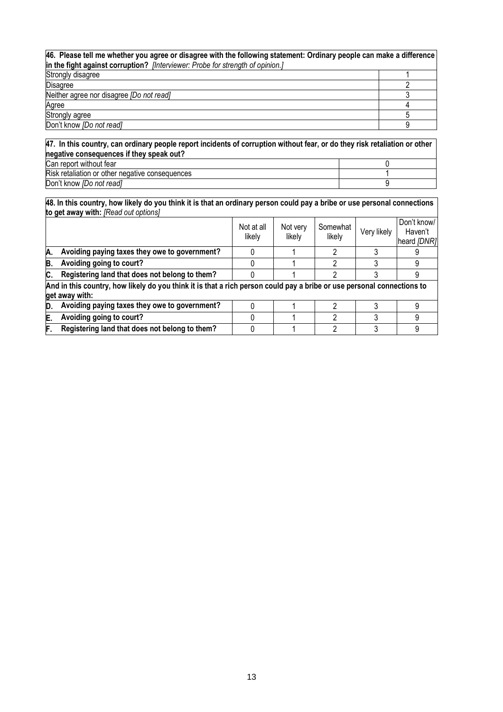| 46. Please tell me whether you agree or disagree with the following statement: Ordinary people can make a difference<br>in the fight against corruption? [Interviewer: Probe for strength of opinion.] |  |
|--------------------------------------------------------------------------------------------------------------------------------------------------------------------------------------------------------|--|
| Strongly disagree                                                                                                                                                                                      |  |
| <b>Disagree</b>                                                                                                                                                                                        |  |
| Neither agree nor disagree [Do not read]                                                                                                                                                               |  |
| Agree                                                                                                                                                                                                  |  |
| Strongly agree                                                                                                                                                                                         |  |
| Don't know [Do not read]                                                                                                                                                                               |  |

**47. In this country, can ordinary people report incidents of corruption without fear, or do they risk retaliation or other negative consequences if they speak out?**  Can report without fear 0 Risk retaliation or other negative consequences 1 Don't know *[Do not read]* 9

**48. In this country, how likely do you think it is that an ordinary person could pay a bribe or use personal connections to get away with:** *[Read out options]*

|     |                                                                                                                                          | Not at all<br>likely | Not very<br>likely | Somewhat<br>likely | Very likely | Don't know/<br>Haven't<br>heard [DNR] |
|-----|------------------------------------------------------------------------------------------------------------------------------------------|----------------------|--------------------|--------------------|-------------|---------------------------------------|
| А.  | Avoiding paying taxes they owe to government?                                                                                            |                      |                    |                    |             |                                       |
| B.  | Avoiding going to court?                                                                                                                 |                      |                    | ŋ                  |             |                                       |
| IC. | Registering land that does not belong to them?                                                                                           |                      |                    |                    |             |                                       |
|     | And in this country, how likely do you think it is that a rich person could pay a bribe or use personal connections to<br>get away with: |                      |                    |                    |             |                                       |
| D.  | Avoiding paying taxes they owe to government?                                                                                            |                      |                    |                    |             |                                       |
| E.  | Avoiding going to court?                                                                                                                 |                      |                    |                    |             |                                       |
| F   | Registering land that does not belong to them?                                                                                           |                      |                    |                    |             | 9                                     |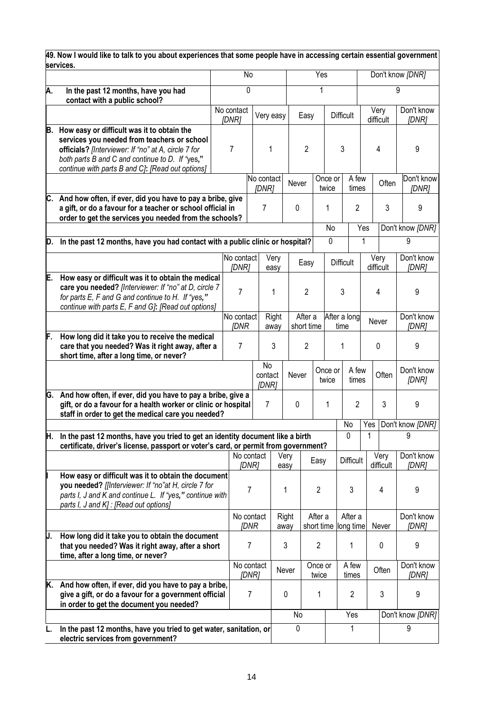|     | services.                                                                                                                                                                                                                                               | 49. Now I would like to talk to you about experiences that some people have in accessing certain essential government |                           |                |                        |                |                           |                  |                      |                  |                   |           |                             |  |  |  |                     |  |  |  |  |  |  |  |  |  |  |  |  |  |  |  |  |  |   |  |   |
|-----|---------------------------------------------------------------------------------------------------------------------------------------------------------------------------------------------------------------------------------------------------------|-----------------------------------------------------------------------------------------------------------------------|---------------------------|----------------|------------------------|----------------|---------------------------|------------------|----------------------|------------------|-------------------|-----------|-----------------------------|--|--|--|---------------------|--|--|--|--|--|--|--|--|--|--|--|--|--|--|--|--|--|---|--|---|
|     |                                                                                                                                                                                                                                                         |                                                                                                                       | No                        |                |                        |                | Yes                       |                  |                      | Don't know [DNR] |                   |           |                             |  |  |  |                     |  |  |  |  |  |  |  |  |  |  |  |  |  |  |  |  |  |   |  |   |
| Α.  | In the past 12 months, have you had<br>contact with a public school?                                                                                                                                                                                    |                                                                                                                       | 0                         |                |                        |                |                           | 1                |                      |                  |                   |           | 9                           |  |  |  |                     |  |  |  |  |  |  |  |  |  |  |  |  |  |  |  |  |  |   |  |   |
|     |                                                                                                                                                                                                                                                         |                                                                                                                       | No contact<br>[DNR]       |                | Very easy              |                | Easy                      |                  | <b>Difficult</b>     |                  | Very<br>difficult |           | Don't know<br>[DNR]         |  |  |  |                     |  |  |  |  |  |  |  |  |  |  |  |  |  |  |  |  |  |   |  |   |
| B.  | How easy or difficult was it to obtain the<br>services you needed from teachers or school<br>officials? [Interviewer: If "no" at A, circle 7 for<br>both parts B and C and continue to D. If "yes,"<br>continue with parts B and C): [Read out options] |                                                                                                                       | $\overline{7}$            |                | 1                      | $\overline{2}$ |                           | 3                |                      |                  |                   | 4         | 9                           |  |  |  |                     |  |  |  |  |  |  |  |  |  |  |  |  |  |  |  |  |  |   |  |   |
|     |                                                                                                                                                                                                                                                         |                                                                                                                       |                           |                | No contact<br>[DNR]    | Never          |                           | Once or<br>twice |                      | A few<br>times   |                   | Often     | Don't know<br>[DNR]         |  |  |  |                     |  |  |  |  |  |  |  |  |  |  |  |  |  |  |  |  |  |   |  |   |
|     | C. And how often, if ever, did you have to pay a bribe, give<br>a gift, or do a favour for a teacher or school official in<br>order to get the services you needed from the schools?                                                                    |                                                                                                                       |                           |                | 7                      | 0              |                           | 1                |                      | $\overline{2}$   |                   | 3         | 9                           |  |  |  |                     |  |  |  |  |  |  |  |  |  |  |  |  |  |  |  |  |  |   |  |   |
|     |                                                                                                                                                                                                                                                         |                                                                                                                       |                           |                |                        |                |                           | No               |                      | Yes              |                   |           | Don't know [DNR]            |  |  |  |                     |  |  |  |  |  |  |  |  |  |  |  |  |  |  |  |  |  |   |  |   |
| D.  | In the past 12 months, have you had contact with a public clinic or hospital?                                                                                                                                                                           |                                                                                                                       |                           |                |                        |                |                           | $\mathbf 0$      |                      | 1                |                   |           | 9                           |  |  |  |                     |  |  |  |  |  |  |  |  |  |  |  |  |  |  |  |  |  |   |  |   |
|     |                                                                                                                                                                                                                                                         |                                                                                                                       | No contact<br>[DNR]       |                | Very<br>easy           |                | Easy                      |                  | <b>Difficult</b>     |                  | Very<br>difficult |           | Don't know<br>[DNR]         |  |  |  |                     |  |  |  |  |  |  |  |  |  |  |  |  |  |  |  |  |  |   |  |   |
| E.  | How easy or difficult was it to obtain the medical<br>care you needed? [Interviewer: If "no" at D, circle 7<br>for parts E, F and G and continue to H. If "yes,"<br>continue with parts E, F and G]: [Read out options]                                 |                                                                                                                       | $\overline{7}$            |                | 1                      |                | $\overline{2}$            |                  |                      |                  |                   |           | 3                           |  |  |  |                     |  |  |  |  |  |  |  |  |  |  |  |  |  |  |  |  |  | 4 |  | 9 |
|     |                                                                                                                                                                                                                                                         |                                                                                                                       | No contact<br><b>IDNR</b> |                | Right<br>away          |                | After a<br>short time     |                  | After a long<br>time |                  |                   |           | Never                       |  |  |  | Don't know<br>[DNR] |  |  |  |  |  |  |  |  |  |  |  |  |  |  |  |  |  |   |  |   |
| F.  | How long did it take you to receive the medical<br>care that you needed? Was it right away, after a<br>short time, after a long time, or never?                                                                                                         |                                                                                                                       | $\overline{7}$            |                | 3                      |                | $\overline{2}$            |                  | 1                    |                  | 0                 |           | 9                           |  |  |  |                     |  |  |  |  |  |  |  |  |  |  |  |  |  |  |  |  |  |   |  |   |
|     |                                                                                                                                                                                                                                                         |                                                                                                                       |                           |                | No<br>contact<br>[DNR] |                | Once or<br>Never<br>twice |                  |                      | A few<br>times   | Often             |           | Don't know<br>[DNR]         |  |  |  |                     |  |  |  |  |  |  |  |  |  |  |  |  |  |  |  |  |  |   |  |   |
| IG. | And how often, if ever, did you have to pay a bribe, give a<br>gift, or do a favour for a health worker or clinic or hospital<br>staff in order to get the medical care you needed?                                                                     |                                                                                                                       |                           |                | $\overline{7}$         | 0              |                           | 1                | $\overline{c}$       |                  |                   | 3         | 9                           |  |  |  |                     |  |  |  |  |  |  |  |  |  |  |  |  |  |  |  |  |  |   |  |   |
| H.  | In the past 12 months, have you tried to get an identity document like a birth                                                                                                                                                                          |                                                                                                                       |                           |                |                        |                |                           | No<br>0          |                      |                  | 1                 |           | Yes   Don't know [DNR]<br>9 |  |  |  |                     |  |  |  |  |  |  |  |  |  |  |  |  |  |  |  |  |  |   |  |   |
|     | certificate, driver's license, passport or voter's card, or permit from government?                                                                                                                                                                     |                                                                                                                       | No contact                |                |                        | Very           |                           |                  |                      |                  | Very              |           | Don't know                  |  |  |  |                     |  |  |  |  |  |  |  |  |  |  |  |  |  |  |  |  |  |   |  |   |
|     |                                                                                                                                                                                                                                                         |                                                                                                                       |                           | [DNR]          | easy                   |                | Easy                      |                  | <b>Difficult</b>     |                  |                   | difficult | [DNR]                       |  |  |  |                     |  |  |  |  |  |  |  |  |  |  |  |  |  |  |  |  |  |   |  |   |
|     | How easy or difficult was it to obtain the document<br>you needed? [[Interviewer: If "no"at H, circle 7 for<br>parts I, J and K and continue L. If "yes," continue with<br>parts I, J and K] : [Read out options]                                       |                                                                                                                       |                           | 7              | 1                      |                | $\overline{2}$            |                  |                      | 3                |                   | 4         | 9                           |  |  |  |                     |  |  |  |  |  |  |  |  |  |  |  |  |  |  |  |  |  |   |  |   |
|     |                                                                                                                                                                                                                                                         |                                                                                                                       | No contact                | <b>JDNR</b>    | Right<br>away          |                | After a<br>short time     |                  | After a<br>long time |                  |                   | Never     | Don't know<br>[DNR]         |  |  |  |                     |  |  |  |  |  |  |  |  |  |  |  |  |  |  |  |  |  |   |  |   |
| IJ. | How long did it take you to obtain the document<br>that you needed? Was it right away, after a short<br>time, after a long time, or never?                                                                                                              |                                                                                                                       |                           | 7              | 3                      |                | $\overline{2}$            |                  | 1                    |                  |                   | 0         | 9                           |  |  |  |                     |  |  |  |  |  |  |  |  |  |  |  |  |  |  |  |  |  |   |  |   |
|     |                                                                                                                                                                                                                                                         |                                                                                                                       | No contact                | [DNR]          | Never                  |                | Once or<br>twice          |                  | A few<br>times       |                  |                   | Often     | Don't know<br>[DNR]         |  |  |  |                     |  |  |  |  |  |  |  |  |  |  |  |  |  |  |  |  |  |   |  |   |
| K.  | And how often, if ever, did you have to pay a bribe,<br>give a gift, or do a favour for a government official<br>in order to get the document you needed?                                                                                               |                                                                                                                       |                           | $\overline{7}$ | $\pmb{0}$              |                | 1                         |                  | $\overline{c}$       |                  |                   | 3         | 9                           |  |  |  |                     |  |  |  |  |  |  |  |  |  |  |  |  |  |  |  |  |  |   |  |   |
|     |                                                                                                                                                                                                                                                         |                                                                                                                       |                           |                |                        | No             |                           |                  | Yes                  |                  |                   |           | Don't know [DNR]            |  |  |  |                     |  |  |  |  |  |  |  |  |  |  |  |  |  |  |  |  |  |   |  |   |
| L.  | In the past 12 months, have you tried to get water, sanitation, or<br>electric services from government?                                                                                                                                                |                                                                                                                       |                           |                |                        | 0              |                           |                  | 1                    |                  |                   |           | 9                           |  |  |  |                     |  |  |  |  |  |  |  |  |  |  |  |  |  |  |  |  |  |   |  |   |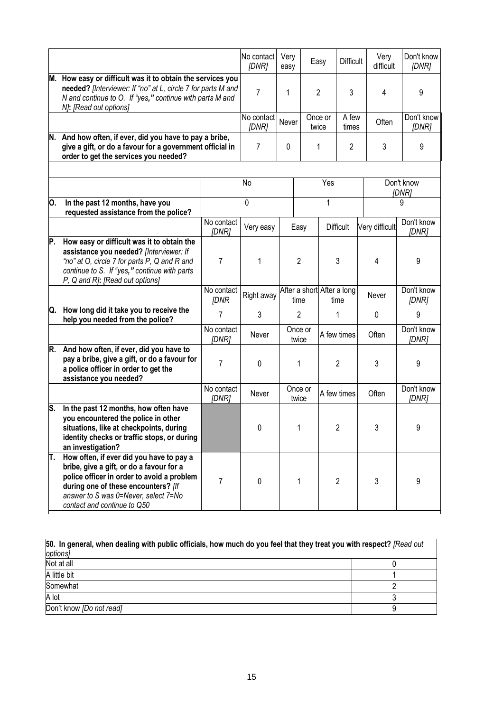|    |                                                                                                                                                                                                                                                  |                           | No contact<br>[DNR] | Very<br>easy |                                    | Easy             |                  | Very<br><b>Difficult</b><br>difficult | Don't know<br>[DNR] |       |                     |
|----|--------------------------------------------------------------------------------------------------------------------------------------------------------------------------------------------------------------------------------------------------|---------------------------|---------------------|--------------|------------------------------------|------------------|------------------|---------------------------------------|---------------------|-------|---------------------|
|    | M. How easy or difficult was it to obtain the services you<br>needed? [Interviewer: If "no" at L, circle 7 for parts M and<br>N and continue to O. If "yes," continue with parts M and<br>N]: [Read out options]                                 |                           | $\overline{7}$      | 1            |                                    | $\overline{2}$   |                  | 4                                     | 9                   |       |                     |
|    |                                                                                                                                                                                                                                                  |                           | No contact<br>[DNR] | Never        |                                    | Once or<br>twice |                  | A few<br>Often<br>times               | Don't know<br>[DNR] |       |                     |
|    | N. And how often, if ever, did you have to pay a bribe,<br>give a gift, or do a favour for a government official in<br>order to get the services you needed?                                                                                     |                           | 7                   | $\mathbf{0}$ | 1<br>2                             |                  | 3                | 9                                     |                     |       |                     |
|    |                                                                                                                                                                                                                                                  |                           | No                  |              |                                    | Yes              |                  |                                       | Don't know<br>[DNR] |       |                     |
| Ю. | In the past 12 months, have you<br>requested assistance from the police?                                                                                                                                                                         |                           | 0                   |              |                                    | 1                |                  |                                       | 9                   |       |                     |
|    |                                                                                                                                                                                                                                                  | No contact<br>[DNR]       | Very easy           |              | Easy                               |                  | <b>Difficult</b> | Very difficult                        | Don't know<br>[DNR] |       |                     |
| P. | How easy or difficult was it to obtain the<br>assistance you needed? [Interviewer: If<br>"no" at O, circle 7 for parts P, Q and R and<br>continue to S. If "yes," continue with parts<br>P, Q and R]: [Read out options]                         | 7                         | 1                   |              | $\overline{2}$                     |                  | 3                | 4                                     | 9                   |       |                     |
|    |                                                                                                                                                                                                                                                  | No contact<br><b>IDNR</b> | Right away          |              | After a short After a long<br>time |                  | time             | Never                                 | Don't know<br>[DNR] |       |                     |
|    | Q. How long did it take you to receive the<br>help you needed from the police?                                                                                                                                                                   | $\overline{7}$            | 3                   |              | $\overline{2}$                     |                  | 1                | 0                                     | 9                   |       |                     |
|    |                                                                                                                                                                                                                                                  | No contact<br>[DNR]       | Never               |              | Once or<br>twice                   |                  |                  | A few times                           |                     | Often | Don't know<br>[DNR] |
|    | R. And how often, if ever, did you have to<br>pay a bribe, give a gift, or do a favour for<br>a police officer in order to get the<br>assistance you needed?                                                                                     | 7                         | 0                   |              | 1                                  | $\overline{2}$   |                  |                                       |                     | 3     | 9                   |
|    |                                                                                                                                                                                                                                                  | No contact<br>[DNR]       | Never               |              | Once or<br>twice                   |                  | A few times      | Often                                 | Don't know<br>[DNR] |       |                     |
| S. | In the past 12 months, how often have<br>you encountered the police in other<br>situations, like at checkpoints, during<br>identity checks or traffic stops, or during<br>an investigation?                                                      |                           | 0                   |              | $\overline{2}$                     |                  | 3                |                                       | 9                   |       |                     |
| π. | How often, if ever did you have to pay a<br>bribe, give a gift, or do a favour for a<br>police officer in order to avoid a problem<br>during one of these encounters? [If<br>answer to S was 0=Never, select 7=No<br>contact and continue to Q50 | 7                         | 0                   |              | 1                                  |                  | $\overline{2}$   | 3                                     | 9                   |       |                     |

| 50. In general, when dealing with public officials, how much do you feel that they treat you with respect? [Read out |  |  |  |  |  |  |  |
|----------------------------------------------------------------------------------------------------------------------|--|--|--|--|--|--|--|
| options]                                                                                                             |  |  |  |  |  |  |  |
| Not at all                                                                                                           |  |  |  |  |  |  |  |
| A little bit                                                                                                         |  |  |  |  |  |  |  |
| Somewhat                                                                                                             |  |  |  |  |  |  |  |
| A lot                                                                                                                |  |  |  |  |  |  |  |
| Don't know [Do not read]                                                                                             |  |  |  |  |  |  |  |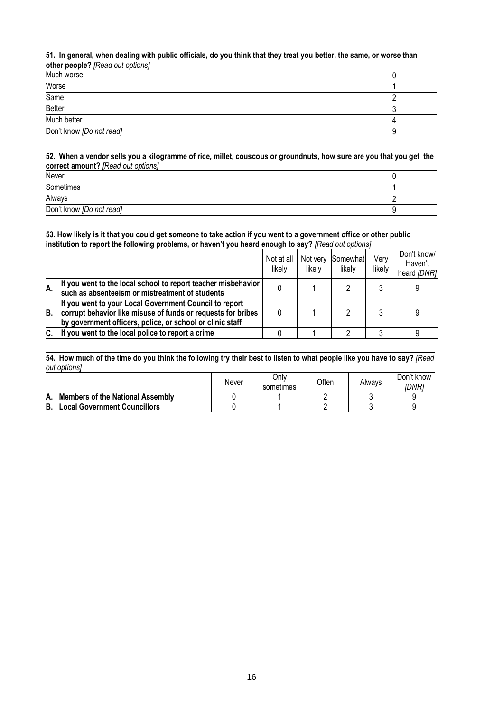| 51. In general, when dealing with public officials, do you think that they treat you better, the same, or worse than<br>other people? [Read out options] |  |  |  |  |  |
|----------------------------------------------------------------------------------------------------------------------------------------------------------|--|--|--|--|--|
| Much worse                                                                                                                                               |  |  |  |  |  |
| Worse                                                                                                                                                    |  |  |  |  |  |
| Same                                                                                                                                                     |  |  |  |  |  |
| <b>Better</b>                                                                                                                                            |  |  |  |  |  |
| Much better                                                                                                                                              |  |  |  |  |  |
| Don't know [Do not read]                                                                                                                                 |  |  |  |  |  |

**52. When a vendor sells you a kilogramme of rice***,* **millet, couscous or groundnuts, how sure are you that you get the correct amount?** *[Read out options]* Never and the contract of the contract of the contract of the contract of the contract of the contract of the contract of the contract of the contract of the contract of the contract of the contract of the contract of the

| Sometimes                |  |
|--------------------------|--|
| Always                   |  |
| Don't know [Do not read] |  |

|                                                                  | 53. How likely is it that you could get someone to take action if you went to a government office or other public<br>institution to report the following problems, or haven't you heard enough to say? [Read out options] |  |  |   |  |                                       |  |  |
|------------------------------------------------------------------|---------------------------------------------------------------------------------------------------------------------------------------------------------------------------------------------------------------------------|--|--|---|--|---------------------------------------|--|--|
| Not at all<br>Not very<br>Somewhat<br>likely<br>likelv<br>likelv |                                                                                                                                                                                                                           |  |  |   |  | Don't know/<br>Haven't<br>heard [DNR] |  |  |
| А.                                                               | If you went to the local school to report teacher misbehavior<br>such as absenteeism or mistreatment of students                                                                                                          |  |  |   |  |                                       |  |  |
| B.                                                               | If you went to your Local Government Council to report<br>corrupt behavior like misuse of funds or requests for bribes<br>by government officers, police, or school or clinic staff                                       |  |  |   |  |                                       |  |  |
| C.                                                               | If you went to the local police to report a crime                                                                                                                                                                         |  |  | റ |  |                                       |  |  |

**54. How much of the time do you think the following try their best to listen to what people like you have to say?** *[Read out options]*

|    |                                         | Never | Only<br>sometimes | <b>Often</b> | Always | Don't know<br>IDNR1 |
|----|-----------------------------------------|-------|-------------------|--------------|--------|---------------------|
| A. | <b>Members of the National Assembly</b> |       |                   |              |        |                     |
| В. | Local Government Councillors            |       |                   |              |        |                     |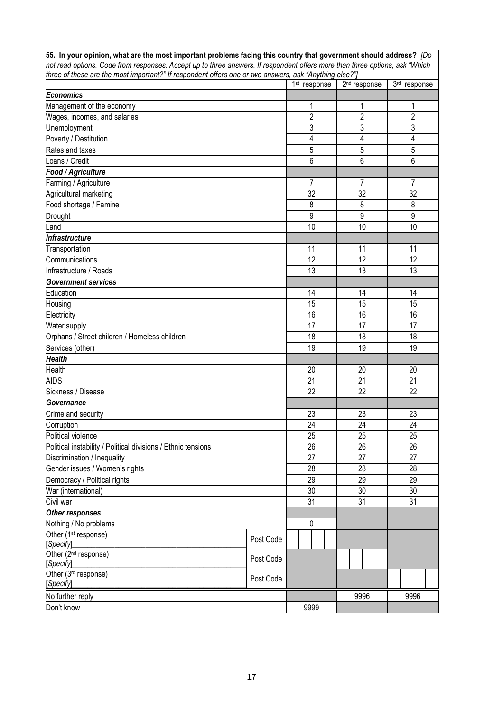**55. In your opinion, what are the most important problems facing this country that government should address?** *[Do not read options. Code from responses. Accept up to three answers. If respondent offers more than three options, ask "Which three of these are the most important?" If respondent offers one or two answers, ask "Anything else?"]*

|                                                               |           | 1 <sup>st</sup> response | 2 <sup>nd</sup> response | 3rd response   |
|---------------------------------------------------------------|-----------|--------------------------|--------------------------|----------------|
| <b>Economics</b>                                              |           |                          |                          |                |
| Management of the economy                                     |           | 1                        | $\mathbf{1}$             | 1              |
| Wages, incomes, and salaries                                  |           | $\overline{2}$           | $\overline{2}$           | $\overline{2}$ |
| Unemployment                                                  |           | 3                        | 3                        | $\mathfrak{Z}$ |
| Poverty / Destitution                                         | 4         | 4                        | $\overline{4}$           |                |
| Rates and taxes                                               |           | 5                        | 5                        | 5              |
| Loans / Credit                                                |           | 6                        | 6                        | 6              |
| Food / Agriculture                                            |           |                          |                          |                |
| Farming / Agriculture                                         |           | $\overline{7}$           | 7                        | 7              |
| Agricultural marketing                                        |           | 32                       | 32                       | 32             |
| Food shortage / Famine                                        |           | 8                        | 8                        | 8              |
| <b>Drought</b>                                                |           | 9                        | 9                        | 9              |
| Land                                                          |           | 10                       | 10                       | 10             |
| Infrastructure                                                |           |                          |                          |                |
| Transportation                                                |           | 11                       | 11                       | 11             |
| Communications                                                |           | 12                       | 12                       | 12             |
| Infrastructure / Roads                                        |           | 13                       | 13                       | 13             |
| <b>Government services</b>                                    |           |                          |                          |                |
| Education                                                     |           | 14                       | 14                       | 14             |
| Housing                                                       |           | 15                       | 15                       | 15             |
| Electricity                                                   |           | 16                       | 16                       | 16             |
| Water supply                                                  |           | 17                       | 17                       | 17             |
| Orphans / Street children / Homeless children                 |           | 18                       | 18                       | 18             |
| Services (other)                                              |           | 19                       | 19                       | 19             |
| <b>Health</b>                                                 |           |                          |                          |                |
| Health                                                        |           | 20                       | 20                       | 20             |
| <b>AIDS</b>                                                   |           | 21                       | 21                       | 21             |
| Sickness / Disease                                            |           | 22                       | 22                       | 22             |
| Governance                                                    |           |                          |                          |                |
| Crime and security                                            |           | 23                       | 23                       | 23             |
| Corruption                                                    |           | 24                       | 24                       | 24             |
| Political violence                                            |           | 25                       | 25                       | 25             |
| Political instability / Political divisions / Ethnic tensions |           | 26                       | 26                       | 26             |
| Discrimination / Inequality                                   |           | 27                       | 27                       | 27             |
| Gender issues / Women's rights                                |           | 28                       | 28                       | 28             |
| Democracy / Political rights                                  |           | 29                       | 29                       | 29             |
| War (international)                                           |           | 30                       | 30                       | 30             |
| Civil war                                                     | 31        | 31                       | 31                       |                |
| Other responses                                               |           |                          |                          |                |
| Nothing / No problems                                         |           | 0                        |                          |                |
| Other (1 <sup>st</sup> response)                              |           |                          |                          |                |
| [Specify]                                                     | Post Code |                          |                          |                |
| Other (2 <sup>nd</sup> response)                              | Post Code |                          |                          |                |
| [Specify]                                                     |           |                          |                          |                |
| Other (3rd response)                                          | Post Code |                          |                          |                |
| [Specify]                                                     |           |                          |                          |                |
| No further reply                                              |           |                          | 9996                     | 9996           |
| Don't know                                                    |           | 9999                     |                          |                |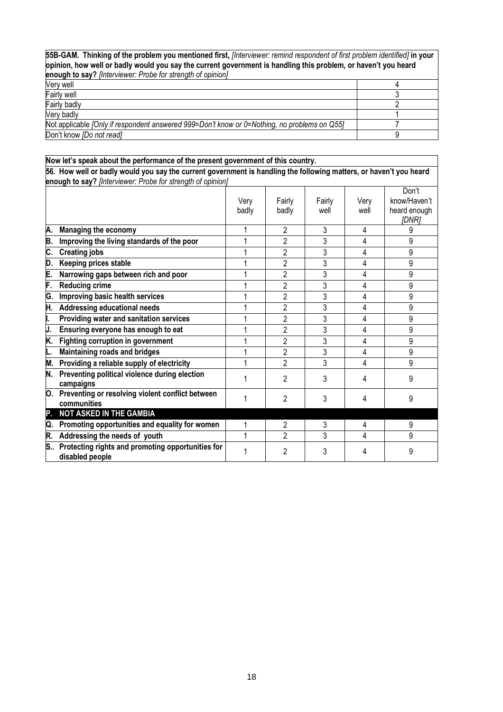| 55B-GAM. Thinking of the problem you mentioned first, [Interviewer: remind respondent of first problem identified] in your<br>opinion, how well or badly would you say the current government is handling this problem, or haven't you heard |  |  |  |  |  |
|----------------------------------------------------------------------------------------------------------------------------------------------------------------------------------------------------------------------------------------------|--|--|--|--|--|
| enough to say? [Interviewer: Probe for strength of opinion]                                                                                                                                                                                  |  |  |  |  |  |
| Verv well                                                                                                                                                                                                                                    |  |  |  |  |  |
| <b>Fairly well</b>                                                                                                                                                                                                                           |  |  |  |  |  |
| Fairly badly                                                                                                                                                                                                                                 |  |  |  |  |  |
| Verv badlv                                                                                                                                                                                                                                   |  |  |  |  |  |
| Not applicable [Only if respondent answered 999=Don't know or 0=Nothing, no problems on Q55]                                                                                                                                                 |  |  |  |  |  |
| Don't know [Do not read]                                                                                                                                                                                                                     |  |  |  |  |  |

|    | Now let's speak about the performance of the present government of this country.                                   |               |                 |                |              |                                                |
|----|--------------------------------------------------------------------------------------------------------------------|---------------|-----------------|----------------|--------------|------------------------------------------------|
|    | 56. How well or badly would you say the current government is handling the following matters, or haven't you heard |               |                 |                |              |                                                |
|    | enough to say? [Interviewer: Probe for strength of opinion]                                                        |               |                 |                |              |                                                |
|    |                                                                                                                    | Very<br>badly | Fairly<br>badly | Fairly<br>well | Very<br>well | Don't<br>know/Haven't<br>heard enough<br>[DNR] |
| Α. | Managing the economy                                                                                               |               | 2               | 3              | 4            | 9                                              |
| Β. | Improving the living standards of the poor                                                                         | 1             | $\overline{2}$  | 3              | 4            | 9                                              |
| C. | <b>Creating jobs</b>                                                                                               |               | $\overline{2}$  | 3              | 4            | 9                                              |
| D. | Keeping prices stable                                                                                              |               | 2               | 3              | 4            | 9                                              |
| E. | Narrowing gaps between rich and poor                                                                               |               | $\overline{2}$  | 3              | 4            | 9                                              |
| F. | <b>Reducing crime</b>                                                                                              |               | 2               | 3              | 4            | 9                                              |
| G. | Improving basic health services                                                                                    |               | $\overline{2}$  | 3              | 4            | 9                                              |
| H. | <b>Addressing educational needs</b>                                                                                | 1             | $\overline{2}$  | 3              | 4            | 9                                              |
| I. | Providing water and sanitation services                                                                            |               | $\overline{2}$  | 3              | 4            | 9                                              |
| J. | Ensuring everyone has enough to eat                                                                                |               | $\overline{2}$  | 3              | 4            | 9                                              |
| K. | Fighting corruption in government                                                                                  |               | $\overline{2}$  | 3              | 4            | 9                                              |
| L. | <b>Maintaining roads and bridges</b>                                                                               |               | 2               | 3              | 4            | 9                                              |
| M. | Providing a reliable supply of electricity                                                                         | 1             | $\overline{2}$  | 3              | 4            | 9                                              |
| N. | Preventing political violence during election<br>campaigns                                                         |               | 2               | 3              | 4            | 9                                              |
| Ю. | Preventing or resolving violent conflict between<br>communities                                                    |               | $\mathfrak{p}$  | 3              | 4            | 9                                              |
| Ρ. | <b>NOT ASKED IN THE GAMBIA</b>                                                                                     |               |                 |                |              |                                                |
| Q. | Promoting opportunities and equality for women                                                                     |               | 2               | 3              | 4            | 9                                              |
| R. | Addressing the needs of youth                                                                                      | 1             | $\overline{2}$  | 3              | 4            | 9                                              |
| S  | Protecting rights and promoting opportunities for<br>disabled people                                               |               | $\overline{c}$  | 3              | 4            | 9                                              |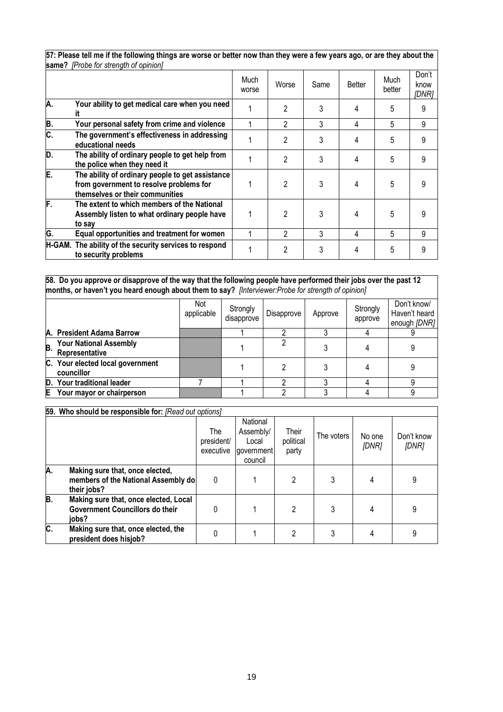| same: <i>Prope for strength of opinion</i> |                                                                                                                                |               |                |      |        |                |                        |  |  |
|--------------------------------------------|--------------------------------------------------------------------------------------------------------------------------------|---------------|----------------|------|--------|----------------|------------------------|--|--|
|                                            |                                                                                                                                | Much<br>worse | Worse          | Same | Better | Much<br>better | Don't<br>know<br>[DNR] |  |  |
| А.                                         | Your ability to get medical care when you need<br>it                                                                           |               | 2              | 3    | 4      | 5              |                        |  |  |
| В.                                         | Your personal safety from crime and violence                                                                                   |               | 2              | 3    | 4      | 5              | 9                      |  |  |
| C.                                         | The government's effectiveness in addressing<br>educational needs                                                              |               | 2              | 3    | 4      | 5              |                        |  |  |
| D.                                         | The ability of ordinary people to get help from<br>the police when they need it                                                |               | $\mathfrak{p}$ | 3    | 4      | 5              | 9                      |  |  |
| E.                                         | The ability of ordinary people to get assistance<br>from government to resolve problems for<br>themselves or their communities |               | 2              | 3    | 4      | 5              |                        |  |  |
| F.                                         | The extent to which members of the National<br>Assembly listen to what ordinary people have<br>to say                          |               | 2              | 3    | 4      | 5              |                        |  |  |
| G.                                         | Equal opportunities and treatment for women                                                                                    |               | 2              | 3    | 4      | 5              | 9                      |  |  |
|                                            | H-GAM. The ability of the security services to respond<br>to security problems                                                 |               | 2              | 3    | 4      | 5              |                        |  |  |

**57: Please tell me if the following things are worse or better now than they were a few years ago, or are they about the same?** *[Probe for strength of opinion]*

**58. Do you approve or disapprove of the way that the following people have performed their jobs over the past 12 months, or haven't you heard enough about them to say?** *[Interviewer:Probe for strength of opinion]* 

|    |                                                 | Not<br>applicable | Strongly<br>disapprove | Disapprove | Approve | Strongly<br>approve | Don't know/<br>Haven't heard<br>enough [DNR] |
|----|-------------------------------------------------|-------------------|------------------------|------------|---------|---------------------|----------------------------------------------|
|    | A. President Adama Barrow                       |                   |                        |            |         |                     |                                              |
| B. | <b>Your National Assembly</b><br>Representative |                   |                        |            |         |                     |                                              |
|    | C. Your elected local government<br>councillor  |                   |                        |            |         |                     |                                              |
|    | D. Your traditional leader                      |                   |                        |            |         |                     |                                              |
| E  | Your mayor or chairperson                       |                   |                        |            |         |                     |                                              |

#### **59. Who should be responsible for:** *[Read out options]*

|                           |                                                                                          | The<br>president/<br>executive | National<br>Assembly/<br>Local<br>government<br>council | Their<br>political<br>party | The voters | No one<br>[DNR] | Don't know<br>[DNR] |
|---------------------------|------------------------------------------------------------------------------------------|--------------------------------|---------------------------------------------------------|-----------------------------|------------|-----------------|---------------------|
| А.                        | Making sure that, once elected,<br>members of the National Assembly do<br>their jobs?    | 0                              |                                                         | 2                           |            |                 | 9                   |
| B.                        | Making sure that, once elected, Local<br><b>Government Councillors do their</b><br>iobs? | 0                              |                                                         | 2                           |            |                 | 9                   |
| $\overline{\mathsf{c}}$ . | Making sure that, once elected, the<br>president does hisjob?                            | 0                              |                                                         |                             |            |                 |                     |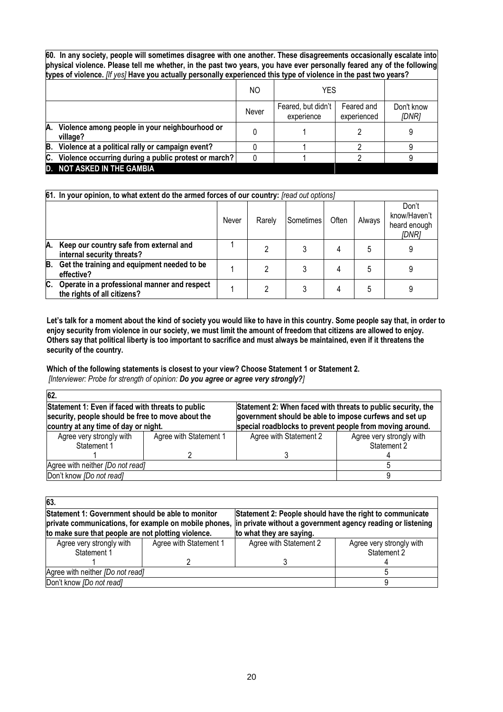**60. In any society, people will sometimes disagree with one another. These disagreements occasionally escalate into physical violence. Please tell me whether, in the past two years, you have ever personally feared any of the following types of violence.** *[If yes]* **Have you actually personally experienced this type of violence in the past two years?** 

|    |                                                            | NO    | YES                                                           |  |                     |
|----|------------------------------------------------------------|-------|---------------------------------------------------------------|--|---------------------|
|    |                                                            | Never | Feared, but didn't<br>Feared and<br>experienced<br>experience |  | Don't know<br>[DNR] |
| A. | Violence among people in your neighbourhood or<br>village? |       |                                                               |  | 9                   |
|    | B. Violence at a political rally or campaign event?        |       |                                                               |  |                     |
|    | C. Violence occurring during a public protest or march?    |       |                                                               |  |                     |
|    | <b>D. NOT ASKED IN THE GAMBIA</b>                          |       |                                                               |  |                     |

|    | 61. In your opinion, to what extent do the armed forces of our country: [read out options] |       |        |           |       |        |                                                |  |
|----|--------------------------------------------------------------------------------------------|-------|--------|-----------|-------|--------|------------------------------------------------|--|
|    |                                                                                            | Never | Rarely | Sometimes | Often | Always | Don't<br>know/Haven't<br>heard enough<br>[DNR] |  |
| А. | Keep our country safe from external and<br>internal security threats?                      |       |        |           | 4     | 5      | 9                                              |  |
| В. | Get the training and equipment needed to be<br>effective?                                  |       | າ      |           | 4     | 5      |                                                |  |
| C. | Operate in a professional manner and respect<br>the rights of all citizens?                |       |        |           | 4     | 5      |                                                |  |

**Let's talk for a moment about the kind of society you would like to have in this country. Some people say that, in order to enjoy security from violence in our society, we must limit the amount of freedom that citizens are allowed to enjoy. Others say that political liberty is too important to sacrifice and must always be maintained, even if it threatens the security of the country.**

**Which of the following statements is closest to your view? Choose Statement 1 or Statement 2.**  *[Interviewer: Probe for strength of opinion: Do you agree or agree very strongly?]*

| 62.                                                                                                                                            |                        |                                                                                                                                                                                    |                                         |  |
|------------------------------------------------------------------------------------------------------------------------------------------------|------------------------|------------------------------------------------------------------------------------------------------------------------------------------------------------------------------------|-----------------------------------------|--|
| Statement 1: Even if faced with threats to public<br>security, people should be free to move about the<br>country at any time of day or night. |                        | Statement 2: When faced with threats to public security, the<br>government should be able to impose curfews and set up<br>special roadblocks to prevent people from moving around. |                                         |  |
| Agree very strongly with<br>Statement 1                                                                                                        | Agree with Statement 1 | Agree with Statement 2                                                                                                                                                             | Agree very strongly with<br>Statement 2 |  |
|                                                                                                                                                |                        |                                                                                                                                                                                    |                                         |  |
| Agree with neither [Do not read]                                                                                                               |                        |                                                                                                                                                                                    |                                         |  |
| Don't know [Do not read]                                                                                                                       |                        |                                                                                                                                                                                    |                                         |  |

| 63.                                                                                                      |                        |                                                                                                                                                                                                           |                                         |  |  |
|----------------------------------------------------------------------------------------------------------|------------------------|-----------------------------------------------------------------------------------------------------------------------------------------------------------------------------------------------------------|-----------------------------------------|--|--|
| Statement 1: Government should be able to monitor<br>to make sure that people are not plotting violence. |                        | Statement 2: People should have the right to communicate<br>private communications, for example on mobile phones, in private without a government agency reading or listening<br>to what they are saying. |                                         |  |  |
| Agree very strongly with<br>Statement 1                                                                  | Agree with Statement 1 | Agree with Statement 2                                                                                                                                                                                    | Agree very strongly with<br>Statement 2 |  |  |
|                                                                                                          |                        |                                                                                                                                                                                                           |                                         |  |  |
| Agree with neither [Do not read]                                                                         |                        |                                                                                                                                                                                                           |                                         |  |  |
| Don't know [Do not read]                                                                                 |                        |                                                                                                                                                                                                           |                                         |  |  |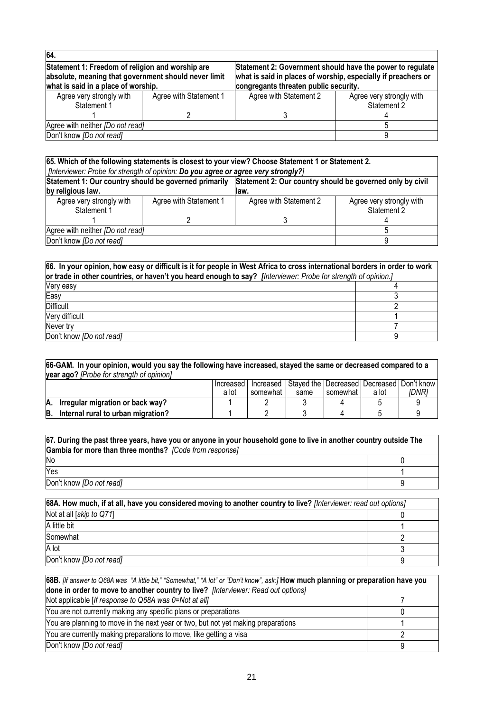| 64.                                                                                                      |                        |                                                                                                                            |                          |  |  |
|----------------------------------------------------------------------------------------------------------|------------------------|----------------------------------------------------------------------------------------------------------------------------|--------------------------|--|--|
| Statement 1: Freedom of religion and worship are<br>absolute, meaning that government should never limit |                        | Statement 2: Government should have the power to regulate<br>what is said in places of worship, especially if preachers or |                          |  |  |
| what is said in a place of worship.                                                                      |                        | congregants threaten public security.                                                                                      |                          |  |  |
| Agree very strongly with                                                                                 | Agree with Statement 1 | Agree with Statement 2                                                                                                     | Agree very strongly with |  |  |
| Statement 1                                                                                              |                        |                                                                                                                            | Statement 2              |  |  |
|                                                                                                          |                        |                                                                                                                            |                          |  |  |
| Agree with neither [Do not read]                                                                         |                        |                                                                                                                            |                          |  |  |
| Don't know <i>[Do not read]</i>                                                                          |                        |                                                                                                                            |                          |  |  |

#### **65. Which of the following statements is closest to your view? Choose Statement 1 or Statement 2.**  *[Interviewer: Probe for strength of opinion: Do you agree or agree very strongly?]* **Statement 1: Our country should be governed primarily by religious law. Statement 2: Our country should be governed only by civil law.** Agree very strongly with Statement 1 1 Agree with Statement 1 2 Agree with Statement 2 3 Agree very strongly with Statement 2 4 Agree with neither *[Do not read]* 5 Don't know *[Do not read]* 9

| 66. In your opinion, how easy or difficult is it for people in West Africa to cross international borders in order to work<br>or trade in other countries, or haven't you heard enough to say? [Interviewer: Probe for strength of opinion.] |  |  |  |  |
|----------------------------------------------------------------------------------------------------------------------------------------------------------------------------------------------------------------------------------------------|--|--|--|--|
| Very easy                                                                                                                                                                                                                                    |  |  |  |  |
| Easy                                                                                                                                                                                                                                         |  |  |  |  |
| <b>Difficult</b>                                                                                                                                                                                                                             |  |  |  |  |
| Very difficult                                                                                                                                                                                                                               |  |  |  |  |
| Never try                                                                                                                                                                                                                                    |  |  |  |  |
| Don't know <i>[Do not read]</i>                                                                                                                                                                                                              |  |  |  |  |

| 66-GAM. In your opinion, would you say the following have increased, stayed the same or decreased compared to a |                                                                           |       |          |      |          |       |       |  |  |
|-----------------------------------------------------------------------------------------------------------------|---------------------------------------------------------------------------|-------|----------|------|----------|-------|-------|--|--|
|                                                                                                                 | year ago? [Probe for strength of opinion]                                 |       |          |      |          |       |       |  |  |
|                                                                                                                 | Stayed the   Decreased   Decreased   Don't know<br>Increased<br>Increased |       |          |      |          |       |       |  |  |
|                                                                                                                 |                                                                           | a lot | somewhat | same | somewhat | a lot | IDNR1 |  |  |
| А.                                                                                                              | Irregular migration or back way?                                          |       |          |      |          |       |       |  |  |
| B.                                                                                                              | Internal rural to urban migration?                                        |       |          |      |          |       |       |  |  |
|                                                                                                                 |                                                                           |       |          |      |          |       |       |  |  |

| 67. During the past three years, have you or anyone in your household gone to live in another country outside The |  |  |  |  |  |
|-------------------------------------------------------------------------------------------------------------------|--|--|--|--|--|
| Gambia for more than three months? [Code from response]                                                           |  |  |  |  |  |
| No                                                                                                                |  |  |  |  |  |
| Yes                                                                                                               |  |  |  |  |  |
| Don't know <i>[Do not read]</i>                                                                                   |  |  |  |  |  |

| 68A. How much, if at all, have you considered moving to another country to live? [Interviewer: read out options] |  |  |  |
|------------------------------------------------------------------------------------------------------------------|--|--|--|
| Not at all [skip to Q71]                                                                                         |  |  |  |
| A little bit                                                                                                     |  |  |  |
| Somewhat                                                                                                         |  |  |  |
| A lot                                                                                                            |  |  |  |
| Don't know [Do not read]                                                                                         |  |  |  |

| 68B. [If answer to Q68A was "A little bit," "Somewhat," "A lot" or "Don't know", ask:] How much planning or preparation have you |  |  |  |  |
|----------------------------------------------------------------------------------------------------------------------------------|--|--|--|--|
| done in order to move to another country to live? [Interviewer: Read out options]                                                |  |  |  |  |
| Not applicable [If response to Q68A was 0=Not at all]                                                                            |  |  |  |  |
| You are not currently making any specific plans or preparations                                                                  |  |  |  |  |
| You are planning to move in the next year or two, but not yet making preparations                                                |  |  |  |  |
| You are currently making preparations to move, like getting a visa                                                               |  |  |  |  |
| Don't know <i>[Do not read]</i>                                                                                                  |  |  |  |  |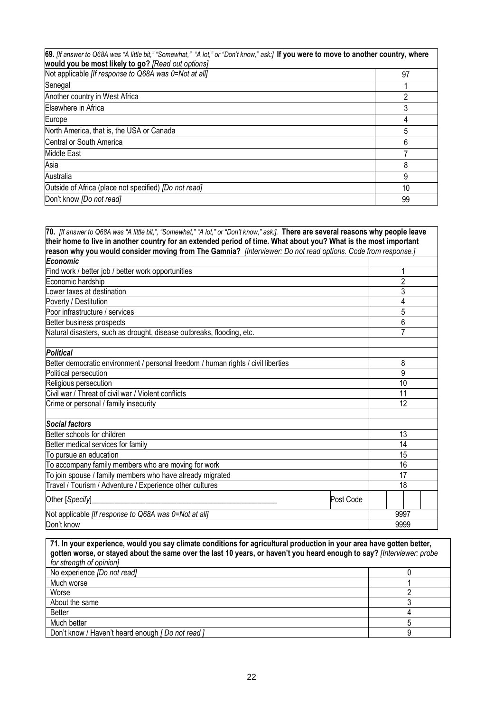| 69. [If answer to Q68A was "A little bit," "Somewhat," "A lot," or "Don't know," ask:] If you were to move to another country, where<br>would you be most likely to go? [Read out options] |    |  |  |  |
|--------------------------------------------------------------------------------------------------------------------------------------------------------------------------------------------|----|--|--|--|
| Not applicable <i>[If response to Q68A was 0=Not at all]</i>                                                                                                                               | 97 |  |  |  |
| Senegal                                                                                                                                                                                    |    |  |  |  |
| Another country in West Africa                                                                                                                                                             |    |  |  |  |
| Elsewhere in Africa                                                                                                                                                                        |    |  |  |  |
| Europe                                                                                                                                                                                     |    |  |  |  |
| North America, that is, the USA or Canada                                                                                                                                                  | 5  |  |  |  |
| Central or South America                                                                                                                                                                   | 6  |  |  |  |
| <b>Middle East</b>                                                                                                                                                                         |    |  |  |  |
| Asia                                                                                                                                                                                       | 8  |  |  |  |
| Australia                                                                                                                                                                                  | 9  |  |  |  |
| Outside of Africa (place not specified) [Do not read]                                                                                                                                      | 10 |  |  |  |
| Don't know [Do not read]                                                                                                                                                                   | 99 |  |  |  |

| 70. [If answer to Q68A was "A little bit,", "Somewhat," "A lot," or "Don't know," ask:]. There are several reasons why people leave |                |
|-------------------------------------------------------------------------------------------------------------------------------------|----------------|
| their home to live in another country for an extended period of time. What about you? What is the most important                    |                |
| reason why you would consider moving from The Gamnia? [Interviewer: Do not read options. Code from response.]                       |                |
| Economic                                                                                                                            |                |
| Find work / better job / better work opportunities                                                                                  | 1              |
| Economic hardship                                                                                                                   | $\overline{2}$ |
| Lower taxes at destination                                                                                                          | 3              |
| Poverty / Destitution                                                                                                               | 4              |
| Poor infrastructure / services                                                                                                      | 5              |
| Better business prospects                                                                                                           | 6              |
| Natural disasters, such as drought, disease outbreaks, flooding, etc.                                                               | 7              |
| <b>Political</b>                                                                                                                    |                |
| Better democratic environment / personal freedom / human rights / civil liberties                                                   | 8              |
| Political persecution                                                                                                               | 9              |
| Religious persecution                                                                                                               | 10             |
| Civil war / Threat of civil war / Violent conflicts                                                                                 | 11             |
| Crime or personal / family insecurity                                                                                               | 12             |
| Social factors                                                                                                                      |                |
| Better schools for children                                                                                                         | 13             |
| Better medical services for family                                                                                                  | 14             |
| To pursue an education                                                                                                              | 15             |
| To accompany family members who are moving for work                                                                                 | 16             |
| To join spouse / family members who have already migrated                                                                           | 17             |
| Travel / Tourism / Adventure / Experience other cultures                                                                            | 18             |
| Other [Specify]<br>Post Code                                                                                                        |                |
| Not applicable [If response to Q68A was 0=Not at all]                                                                               | 9997           |
| Don't know                                                                                                                          | 9999           |

**71. In your experience, would you say climate conditions for agricultural production in your area have gotten better, gotten worse, or stayed about the same over the last 10 years, or haven't you heard enough to say?** *[Interviewer: probe for strength of opinion]* No experience *[Do not read]* 0<br>Much worse 1 Much worse 1<br>Worse 2 Worse 2012 - 2022 - 2022 - 2022 - 2022 - 2022 - 2022 - 2022 - 2022 - 2022 - 2022 - 2022 - 2022 - 2022 - 2022 -About the same 3 Better 4 Much better 5<br>Don't know / Haven't heard enough [ Do not read ] 3 Don't know / Haven't heard enough [ Do not read ]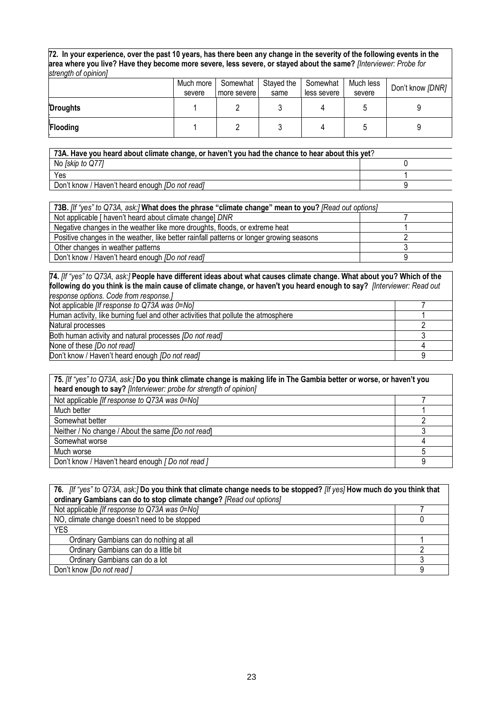**72. In your experience, over the past 10 years, has there been any change in the severity of the following events in the area where you live? Have they become more severe, less severe, or stayed about the same?** *[Interviewer: Probe for strength of opinion]*

|          | Much more<br>severe | Somewhat<br>more severe | Stayed the<br>same | Somewhat<br>less severe | Much less<br>severe | Don't know [DNR] |
|----------|---------------------|-------------------------|--------------------|-------------------------|---------------------|------------------|
| Droughts |                     |                         |                    |                         |                     |                  |
| Flooding |                     |                         |                    |                         |                     |                  |

| 73A. Have you heard about climate change, or haven't you had the chance to hear about this yet? |  |  |  |  |
|-------------------------------------------------------------------------------------------------|--|--|--|--|
| No [skip to Q77]                                                                                |  |  |  |  |
| Yes                                                                                             |  |  |  |  |
| Don't know / Haven't heard enough [Do not read]                                                 |  |  |  |  |

| 73B. [If "yes" to Q73A, ask:] What does the phrase "climate change" mean to you? [Read out options] |  |
|-----------------------------------------------------------------------------------------------------|--|
| Not applicable [ haven't heard about climate change] DNR                                            |  |
| Negative changes in the weather like more droughts, floods, or extreme heat                         |  |
| Positive changes in the weather, like better rainfall patterns or longer growing seasons            |  |
| Other changes in weather patterns                                                                   |  |
| Don't know / Haven't heard enough [Do not read]                                                     |  |

**74.** *[If "yes" to Q73A, ask:]* **People have different ideas about what causes climate change. What about you? Which of the following do you think is the main cause of climate change, or haven't you heard enough to say?** *[Interviewer: Read out response options. Code from response.]*

| Not applicable <i>[If response to Q73A was <math>0 = N_O</math>]</i>               |  |
|------------------------------------------------------------------------------------|--|
| Human activity, like burning fuel and other activities that pollute the atmosphere |  |
| Natural processes                                                                  |  |
| Both human activity and natural processes [Do not read]                            |  |
| None of these [Do not read]                                                        |  |
| Don't know / Haven't heard enough <i>[Do not read]</i>                             |  |

| 75. [If "yes" to Q73A, ask:] Do you think climate change is making life in The Gambia better or worse, or haven't you<br>heard enough to say? [Interviewer: probe for strength of opinion] |  |  |
|--------------------------------------------------------------------------------------------------------------------------------------------------------------------------------------------|--|--|
| Not applicable [If response to Q73A was 0=No]                                                                                                                                              |  |  |
| Much better                                                                                                                                                                                |  |  |
| Somewhat better                                                                                                                                                                            |  |  |
| Neither / No change / About the same [Do not read]                                                                                                                                         |  |  |
| Somewhat worse                                                                                                                                                                             |  |  |
| Much worse                                                                                                                                                                                 |  |  |
| Don't know / Haven't heard enough [ Do not read ]                                                                                                                                          |  |  |

| 76. If "yes" to Q73A, ask:] Do you think that climate change needs to be stopped? If yes] How much do you think that<br>ordinary Gambians can do to stop climate change? [Read out options] |   |  |
|---------------------------------------------------------------------------------------------------------------------------------------------------------------------------------------------|---|--|
| Not applicable <i>[If response to Q73A was 0=No]</i>                                                                                                                                        |   |  |
| NO, climate change doesn't need to be stopped                                                                                                                                               |   |  |
| <b>YES</b>                                                                                                                                                                                  |   |  |
| Ordinary Gambians can do nothing at all                                                                                                                                                     |   |  |
| Ordinary Gambians can do a little bit                                                                                                                                                       |   |  |
| Ordinary Gambians can do a lot                                                                                                                                                              |   |  |
| Don't know [Do not read]                                                                                                                                                                    | a |  |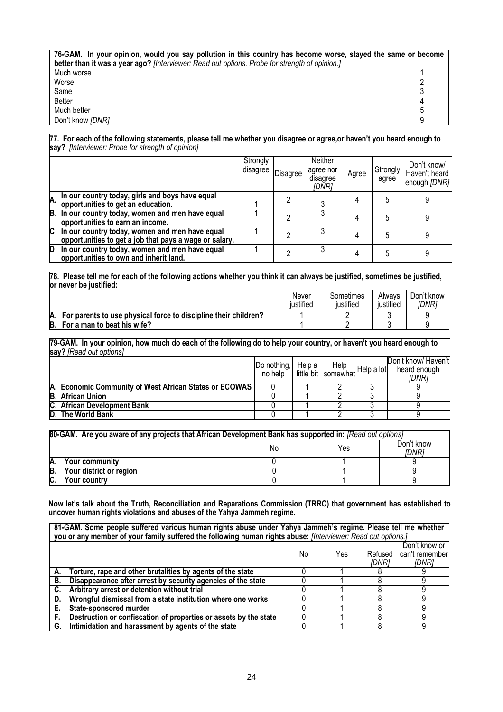| 76-GAM. In your opinion, would you say pollution in this country has become worse, stayed the same or become<br>better than it was a year ago? [Interviewer: Read out options. Probe for strength of opinion.] |  |  |  |
|----------------------------------------------------------------------------------------------------------------------------------------------------------------------------------------------------------------|--|--|--|
| Much worse                                                                                                                                                                                                     |  |  |  |
| Worse                                                                                                                                                                                                          |  |  |  |
| Same                                                                                                                                                                                                           |  |  |  |
| <b>Better</b>                                                                                                                                                                                                  |  |  |  |
| Much better                                                                                                                                                                                                    |  |  |  |
| Don't know [DNR]                                                                                                                                                                                               |  |  |  |

#### **77. For each of the following statements, please tell me whether you disagree or agree,or haven't you heard enough to say?** *[Interviewer: Probe for strength of opinion]*

|                |                                                                                                          | Strongly<br>disagree | <b>Disagree</b> | Neither<br>agree nor<br>disagree<br>[DNR] | Agree | Strongly<br>agree | Don't know/<br>Haven't heard<br>enough [DNR] |
|----------------|----------------------------------------------------------------------------------------------------------|----------------------|-----------------|-------------------------------------------|-------|-------------------|----------------------------------------------|
|                | A. In our country today, girls and boys have equal<br>opportunities to get an education.                 |                      |                 |                                           |       |                   |                                              |
|                | B. In our country today, women and men have equal<br>opportunities to earn an income.                    |                      |                 |                                           |       |                   |                                              |
| $\overline{c}$ | In our country today, women and men have equal<br>opportunities to get a job that pays a wage or salary. |                      |                 |                                           |       |                   |                                              |
| D              | In our country today, women and men have equal<br>opportunities to own and inherit land.                 |                      |                 |                                           |       |                   |                                              |

**78. Please tell me for each of the following actions whether you think it can always be justified, sometimes be justified, or never be justified:**

|                                                                       | Never<br>iustified | Sometimes<br>iustified | Alwavs<br>justified | Don't know<br>IDNR1 |
|-----------------------------------------------------------------------|--------------------|------------------------|---------------------|---------------------|
| A.<br>For parents to use physical force to discipline their children? |                    |                        |                     |                     |
| B.<br>For a man to beat his wife?                                     |                    |                        |                     |                     |

**79-GAM. In your opinion, how much do each of the following do to help your country, or haven't you heard enough to say?** *[Read out options]*

|                                                        | Do nothing, Help a<br>no help   little bit   somewhat Help a lot | Help | Don't know/ Haven't<br>heard enough<br>IDNR1 |
|--------------------------------------------------------|------------------------------------------------------------------|------|----------------------------------------------|
| A. Economic Community of West African States or ECOWAS |                                                                  |      |                                              |
| <b>B.</b> African Union                                |                                                                  |      |                                              |
| C. African Development Bank                            |                                                                  |      |                                              |
| D. The World Bank                                      |                                                                  |      |                                              |

| 80-GAM. Are you aware of any projects that African Development Bank has supported in: [Read out options] |  |  |  |  |  |  |  |  |
|----------------------------------------------------------------------------------------------------------|--|--|--|--|--|--|--|--|
| Don't know<br>Yes<br>Nο<br>IDNR1                                                                         |  |  |  |  |  |  |  |  |
| <b>Your community</b>                                                                                    |  |  |  |  |  |  |  |  |
| B.<br>Your district or region                                                                            |  |  |  |  |  |  |  |  |
| $\sim$<br>Your country                                                                                   |  |  |  |  |  |  |  |  |

**Now let's talk about the Truth, Reconciliation and Reparations Commission (TRRC) that government has established to uncover human rights violations and abuses of the Yahya Jammeh regime.**

|                                                                                          | 81-GAM. Some people suffered various human rights abuse under Yahya Jammeh's regime. Please tell me whether<br>you or any member of your family suffered the following human rights abuse: [Interviewer: Read out options.] |  |  |  |   |  |  |
|------------------------------------------------------------------------------------------|-----------------------------------------------------------------------------------------------------------------------------------------------------------------------------------------------------------------------------|--|--|--|---|--|--|
| Don't know or<br>can't remember<br><b>Yes</b><br>Refused<br>No.<br><i>IDNR1</i><br>IDNR1 |                                                                                                                                                                                                                             |  |  |  |   |  |  |
|                                                                                          | A. Torture, rape and other brutalities by agents of the state                                                                                                                                                               |  |  |  |   |  |  |
| В.                                                                                       | Disappearance after arrest by security agencies of the state                                                                                                                                                                |  |  |  |   |  |  |
|                                                                                          | Arbitrary arrest or detention without trial                                                                                                                                                                                 |  |  |  | q |  |  |
| D.                                                                                       | Wrongful dismissal from a state institution where one works                                                                                                                                                                 |  |  |  |   |  |  |
| Е.                                                                                       | State-sponsored murder                                                                                                                                                                                                      |  |  |  | a |  |  |
|                                                                                          | Destruction or confiscation of properties or assets by the state                                                                                                                                                            |  |  |  | 9 |  |  |
|                                                                                          | G. Intimidation and harassment by agents of the state                                                                                                                                                                       |  |  |  | 9 |  |  |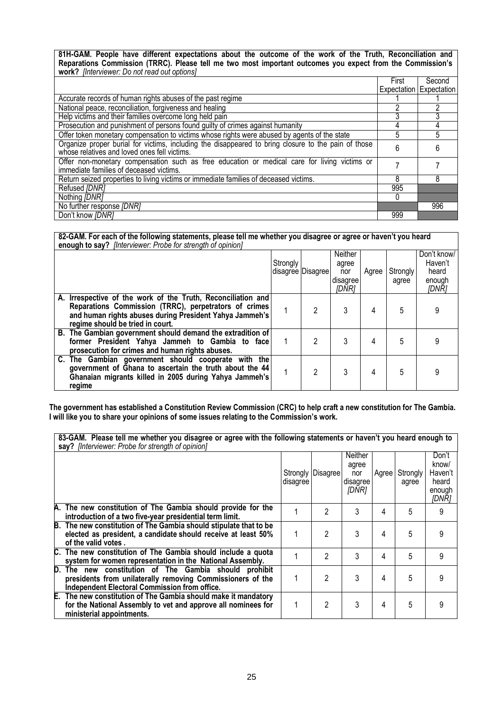**81H-GAM. People have different expectations about the outcome of the work of the Truth, Reconciliation and Reparations Commission (TRRC). Please tell me two most important outcomes you expect from the Commission's work?** *[Interviewer: Do not read out options]*

|                                                                                                                                         | First | Second                  |
|-----------------------------------------------------------------------------------------------------------------------------------------|-------|-------------------------|
|                                                                                                                                         |       | Expectation Expectation |
| Accurate records of human rights abuses of the past regime                                                                              |       |                         |
| National peace, reconciliation, forgiveness and healing                                                                                 |       |                         |
| Help victims and their families overcome long held pain                                                                                 |       |                         |
| Prosecution and punishment of persons found guilty of crimes against humanity                                                           | 4     |                         |
| Offer token monetary compensation to victims whose rights were abused by agents of the state                                            | 5     |                         |
| Organize proper burial for victims, including the disappeared to bring closure to the pain of those                                     | 6     |                         |
| whose relatives and loved ones fell victims.                                                                                            |       |                         |
| Offer non-monetary compensation such as free education or medical care for living victims or<br>immediate families of deceased victims. |       |                         |
|                                                                                                                                         |       |                         |
| Return seized properties to living victims or immediate families of deceased victims.                                                   | 8     | 8                       |
| Refused [DNR]                                                                                                                           | 995   |                         |
| Nothing [DNR]                                                                                                                           |       |                         |
| No further response [DNR]                                                                                                               |       | 996                     |
| Don't know [DNR]                                                                                                                        | 999   |                         |

**82-GAM. For each of the following statements, please tell me whether you disagree or agree or haven't you heard enough to say?** *[Interviewer: Probe for strength of opinion]*

|                                                                                                                                                                                                                      | Strongly | disagree Disagree | Neither<br>agree<br>nor<br>disagree<br><i>IDNR1</i> | Agree | <b>Strongly</b><br>agree | Don't know/<br>Haven't<br>heard<br>enough<br><i><b>IDNR1</b></i> |
|----------------------------------------------------------------------------------------------------------------------------------------------------------------------------------------------------------------------|----------|-------------------|-----------------------------------------------------|-------|--------------------------|------------------------------------------------------------------|
| A. Irrespective of the work of the Truth, Reconciliation and<br>Reparations Commission (TRRC), perpetrators of crimes<br>and human rights abuses during President Yahya Jammeh's<br>regime should be tried in court. |          | 2                 |                                                     |       | 5                        |                                                                  |
| B. The Gambian government should demand the extradition of<br>former President Yahya Jammeh to Gambia to face<br>prosecution for crimes and human rights abuses.                                                     |          | 2                 |                                                     |       |                          |                                                                  |
| C. The Gambian government should cooperate with the<br>government of Ghana to ascertain the truth about the 44<br>Ghanaian migrants killed in 2005 during Yahya Jammeh's<br>regime                                   |          | 2                 | 3                                                   |       | 5                        |                                                                  |

**The government has established a Constitution Review Commission (CRC) to help craft a new constitution for The Gambia. I will like you to share your opinions of some issues relating to the Commission's work.**

| 83-GAM. Please tell me whether you disagree or agree with the following statements or haven't you heard enough to<br>say? [Interviewer: Probe for strength of opinion] |          |                   |                                              |       |                   |                                                       |
|------------------------------------------------------------------------------------------------------------------------------------------------------------------------|----------|-------------------|----------------------------------------------|-------|-------------------|-------------------------------------------------------|
|                                                                                                                                                                        | disagree | Strongly Disagree | Neither<br>agree<br>nor<br>disagree<br>[DNR] | Agree | Strongly<br>agree | Don't<br>know/<br>Haven't<br>heard<br>enough<br>[DNR] |
| A. The new constitution of The Gambia should provide for the<br>introduction of a two five-year presidential term limit.                                               |          | $\mathfrak{p}$    | 3                                            | 4     | 5                 | 9                                                     |
| B. The new constitution of The Gambia should stipulate that to be<br>elected as president, a candidate should receive at least 50%<br>of the valid votes.              |          | 2                 | 3                                            | 4     | 5                 | 9                                                     |
| C. The new constitution of The Gambia should include a quota<br>system for women representation in the National Assembly.                                              |          | 2                 | 3                                            | 4     | 5                 | 9                                                     |
| D. The new constitution of The Gambia should prohibit<br>presidents from unilaterally removing Commissioners of the<br>Independent Electoral Commission from office.   |          | 2                 | 3                                            | 4     | 5                 | 9                                                     |
| E. The new constitution of The Gambia should make it mandatory<br>for the National Assembly to vet and approve all nominees for<br>ministerial appointments.           |          | 2                 | 3                                            | 4     | 5                 | 9                                                     |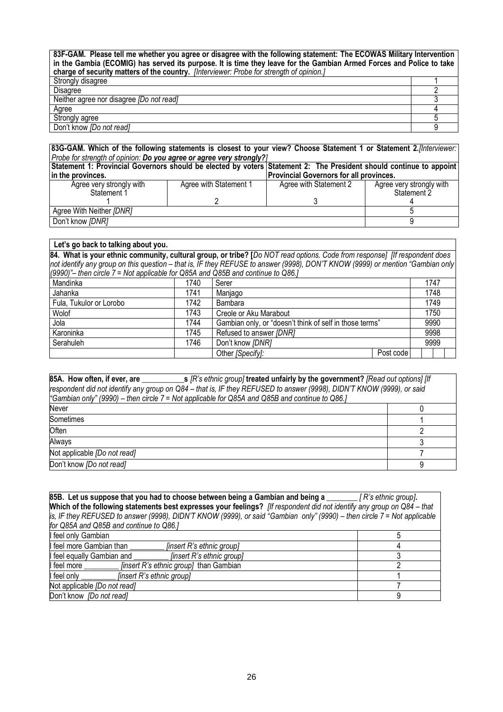**83F-GAM. Please tell me whether you agree or disagree with the following statement: The ECOWAS Military Intervention in the Gambia (ECOMIG) has served its purpose. It is time they leave for the Gambian Armed Forces and Police to take charge of security matters of the country.** *[Interviewer: Probe for strength of opinion.]* Strongly disagree the control of the control of the control of the control of the control of the control of the control of the control of the control of the control of the control of the control of the control of the contr Disagree 2 Neither agree nor disagree *[Do not read]* 3 Agree the contract of the contract of the contract of the contract of the contract of the contract of the contract of the contract of the contract of the contract of the contract of the contract of the contract of the cont Strongly agree 5 and 5 and 5 and 5 and 5 and 5 and 5 and 5 and 5 and 5 and 5 and 5 and 5 and 5 and 5 and 5 and 5 and 5 and 5 and 5 and 5 and 5 and 5 and 5 and 5 and 5 and 5 and 5 and 5 and 5 and 5 and 5 and 5 and 5 and 5 a

Don't know *[Do not read]* 9

| 83G-GAM. Which of the following statements is closest to your view? Choose Statement 1 or Statement 2.[Interviewer:<br>Probe for strength of opinion: Do you agree or agree very strongly?] |                        |                                                |                                         |  |  |  |
|---------------------------------------------------------------------------------------------------------------------------------------------------------------------------------------------|------------------------|------------------------------------------------|-----------------------------------------|--|--|--|
| Statement 1: Provincial Governors should be elected by voters Statement 2: The President should continue to appoint                                                                         |                        |                                                |                                         |  |  |  |
| In the provinces.                                                                                                                                                                           |                        | <b>Provincial Governors for all provinces.</b> |                                         |  |  |  |
| Agree very strongly with<br>Statement 1                                                                                                                                                     | Agree with Statement 1 | Agree with Statement 2                         | Agree very strongly with<br>Statement 2 |  |  |  |
|                                                                                                                                                                                             |                        |                                                |                                         |  |  |  |
| Agree With Neither [DNR]                                                                                                                                                                    |                        |                                                |                                         |  |  |  |
| Don't know [DNR]                                                                                                                                                                            |                        |                                                |                                         |  |  |  |

| Let's go back to talking about you.                                              |                 |                                                                                                                                |           |  |      |  |
|----------------------------------------------------------------------------------|-----------------|--------------------------------------------------------------------------------------------------------------------------------|-----------|--|------|--|
|                                                                                  |                 | 84. What is your ethnic community, cultural group, or tribe? [Do NOT read options. Code from response] [If respondent does     |           |  |      |  |
|                                                                                  |                 | not identify any group on this question – that is, IF they REFUSE to answer (9998), DON'T KNOW (9999) or mention "Gambian only |           |  |      |  |
| (9990)" – then circle 7 = Not applicable for Q85A and Q85B and continue to Q86.1 |                 |                                                                                                                                |           |  |      |  |
| Mandinka                                                                         | 1740            | Serer                                                                                                                          |           |  | 1747 |  |
| Jahanka                                                                          | 1741<br>Manjago |                                                                                                                                |           |  | 1748 |  |
| Fula, Tukulor or Lorobo                                                          | 1742            | Bambara                                                                                                                        |           |  |      |  |
| Wolof                                                                            | 1743            | Creole or Aku Marabout                                                                                                         |           |  | 1750 |  |
| Jola                                                                             | 1744            | Gambian only, or "doesn't think of self in those terms"                                                                        |           |  | 9990 |  |
| Karoninka                                                                        | 1745            | Refused to answer [DNR]                                                                                                        |           |  | 9998 |  |
| Serahuleh<br>Don't know [DNR]<br>1746<br>9999                                    |                 |                                                                                                                                |           |  |      |  |
|                                                                                  |                 | Other [Specify]:                                                                                                               | Post code |  |      |  |

| 85A. How often, if ever, are $\frac{1}{s}$ [R's ethnic group] treated unfairly by the government? [Read out options] [If<br>respondent did not identify any group on Q84 - that is, IF they REFUSED to answer (9998), DIDN'T KNOW (9999), or said<br>"Gambian only" (9990) – then circle 7 = Not applicable for Q85A and Q85B and continue to Q86.] |  |  |  |  |
|-----------------------------------------------------------------------------------------------------------------------------------------------------------------------------------------------------------------------------------------------------------------------------------------------------------------------------------------------------|--|--|--|--|
| Never                                                                                                                                                                                                                                                                                                                                               |  |  |  |  |
| Sometimes                                                                                                                                                                                                                                                                                                                                           |  |  |  |  |
| Often                                                                                                                                                                                                                                                                                                                                               |  |  |  |  |
| Always                                                                                                                                                                                                                                                                                                                                              |  |  |  |  |
| Not applicable [Do not read]                                                                                                                                                                                                                                                                                                                        |  |  |  |  |
| Don't know [Do not read]                                                                                                                                                                                                                                                                                                                            |  |  |  |  |

| 85B. Let us suppose that you had to choose between being a Gambian and being a ___                                       | [R's ethnic group].                                                                                                    |  |  |  |  |
|--------------------------------------------------------------------------------------------------------------------------|------------------------------------------------------------------------------------------------------------------------|--|--|--|--|
|                                                                                                                          | Which of the following statements best expresses your feelings? If respondent did not identify any group on Q84 - that |  |  |  |  |
| is, IF they REFUSED to answer (9998), DIDN'T KNOW (9999), or said "Gambian only" (9990) – then circle 7 = Not applicable |                                                                                                                        |  |  |  |  |
| for Q85A and Q85B and continue to Q86.1                                                                                  |                                                                                                                        |  |  |  |  |
| I feel only Gambian                                                                                                      |                                                                                                                        |  |  |  |  |
| I feel more Gambian than<br>[insert R's ethnic group]                                                                    |                                                                                                                        |  |  |  |  |
| [insert R's ethnic group]<br>I feel equally Gambian and                                                                  |                                                                                                                        |  |  |  |  |
| [insert R's ethnic group] than Gambian<br>I feel more                                                                    |                                                                                                                        |  |  |  |  |
| I feel only<br>[insert R's ethnic group]                                                                                 |                                                                                                                        |  |  |  |  |
| Not applicable [Do not read]                                                                                             |                                                                                                                        |  |  |  |  |
| Don't know <i>[Do not read]</i>                                                                                          | 9                                                                                                                      |  |  |  |  |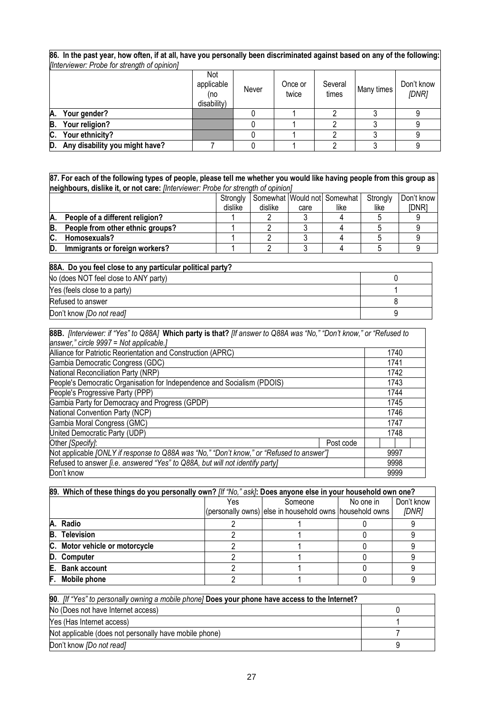**86. In the past year, how often, if at all, have you personally been discriminated against based on any of the following:**  *[Interviewer: Probe for strength of opinion]*

|                                      | Not<br>applicable<br>no)<br>disability) | Never | Once or<br>twice | Several<br>times | Many times | Don't know<br>[DNR] |
|--------------------------------------|-----------------------------------------|-------|------------------|------------------|------------|---------------------|
| A. Your gender?                      |                                         |       |                  |                  |            |                     |
| B.<br>Your religion?                 |                                         |       |                  |                  |            |                     |
| Your ethnicity?<br>C.                |                                         |       |                  |                  |            |                     |
| Any disability you might have?<br>D. |                                         |       |                  |                  |            |                     |

**87. For each of the following types of people, please tell me whether you would like having people from this group as neighbours, dislike it, or not care:** *[Interviewer: Probe for strength of opinion]*

|        |                                  | Strongly |         |      | Somewhat Would not Somewhat | Strongly | Don't know |
|--------|----------------------------------|----------|---------|------|-----------------------------|----------|------------|
|        |                                  | dislike  | dislike | care | like                        | like     | idnr:      |
| Α.     | People of a different religion?  |          |         |      |                             |          |            |
| в      | People from other ethnic groups? |          |         |      |                             |          |            |
| ◠<br>v | Homosexuals?                     |          |         |      |                             |          |            |
|        | Immigrants or foreign workers?   |          |         |      |                             |          |            |

| 88A. Do you feel close to any particular political party? |   |
|-----------------------------------------------------------|---|
| No (does NOT feel close to ANY party)                     |   |
| Yes (feels close to a party)                              |   |
| Refused to answer                                         |   |
| Don't know <i>[Do not read]</i>                           | ч |

| 88B. [Interviewer: if "Yes" to Q88A] Which party is that? [If answer to Q88A was "No," "Don't know," or "Refused to |      |      |  |  |
|---------------------------------------------------------------------------------------------------------------------|------|------|--|--|
| answer," circle 9997 = Not applicable.]                                                                             |      |      |  |  |
| Alliance for Patriotic Reorientation and Construction (APRC)                                                        | 1740 |      |  |  |
| Gambia Democratic Congress (GDC)                                                                                    | 1741 |      |  |  |
| National Reconciliation Party (NRP)                                                                                 |      | 1742 |  |  |
| People's Democratic Organisation for Independence and Socialism (PDOIS)                                             |      | 1743 |  |  |
| People's Progressive Party (PPP)                                                                                    | 1744 |      |  |  |
| Gambia Party for Democracy and Progress (GPDP)                                                                      | 1745 |      |  |  |
| National Convention Party (NCP)                                                                                     | 1746 |      |  |  |
| Gambia Moral Congress (GMC)                                                                                         | 1747 |      |  |  |
| United Democratic Party (UDP)                                                                                       |      | 1748 |  |  |
| Other [Specify]:                                                                                                    |      |      |  |  |
| Not applicable [ONLY if response to Q88A was "No," "Don't know," or "Refused to answer"]                            | 9997 |      |  |  |
| Refused to answer <i>[i.e. answered "Yes" to Q88A, but will not identify party]</i>                                 | 9998 |      |  |  |
| Don't know                                                                                                          |      | 9999 |  |  |

|    | 89. Which of these things do you personally own? [If "No," ask]: Does anyone else in your household own one? |     |                                                                    |           |                     |  |  |  |  |
|----|--------------------------------------------------------------------------------------------------------------|-----|--------------------------------------------------------------------|-----------|---------------------|--|--|--|--|
|    |                                                                                                              | Yes | Someone<br>(personally owns) else in household owns household owns | No one in | Don't know<br>[DNR] |  |  |  |  |
|    | A. Radio                                                                                                     |     |                                                                    |           |                     |  |  |  |  |
|    | <b>B.</b> Television                                                                                         |     |                                                                    |           |                     |  |  |  |  |
|    | C. Motor vehicle or motorcycle                                                                               |     |                                                                    |           |                     |  |  |  |  |
|    | D. Computer                                                                                                  |     |                                                                    |           |                     |  |  |  |  |
|    | E. Bank account                                                                                              |     |                                                                    |           |                     |  |  |  |  |
| F. | Mobile phone                                                                                                 |     |                                                                    |           |                     |  |  |  |  |

| 90. Iff "Yes" to personally owning a mobile phone] Does your phone have access to the Internet? |  |  |
|-------------------------------------------------------------------------------------------------|--|--|
| No (Does not have Internet access)                                                              |  |  |
| Yes (Has Internet access)                                                                       |  |  |
| Not applicable (does not personally have mobile phone)                                          |  |  |
| Don't know <i>[Do not read]</i>                                                                 |  |  |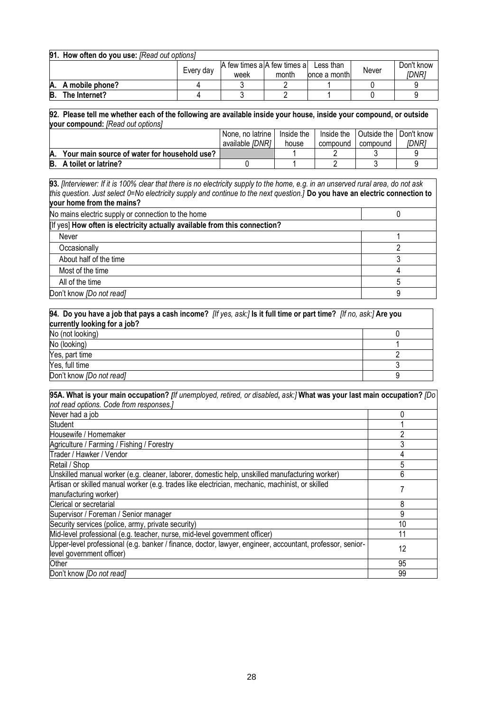| 91. How often do you use: [Read out options] |                    |           |                                               |       |               |       |                     |
|----------------------------------------------|--------------------|-----------|-----------------------------------------------|-------|---------------|-------|---------------------|
|                                              |                    | Every day | A few times a A few times a Less than<br>week | month | lonce a month | Never | Don't know<br>IDNR1 |
|                                              | A. A mobile phone? |           |                                               |       |               |       |                     |
| B.                                           | The Internet?      |           |                                               |       |               |       |                     |

**92. Please tell me whether each of the following are available inside your house, inside your compound, or outside your compound:** *[Read out options]*

|                                              | l None. no latrine | Inside the | Inside the | <b>Outside the I Don't know</b> |       |
|----------------------------------------------|--------------------|------------|------------|---------------------------------|-------|
|                                              | available [DNR]    | house      | compound   | compound                        | [DNR] |
| Your main source of water for household use? |                    |            |            |                                 |       |
| <b>B.</b> A toilet or latrine?               |                    |            |            |                                 |       |

**93.** *[Interviewer: If it is 100% clear that there is no electricity supply to the home, e.g. in an unserved rural area, do not ask this question. Just select 0=No electricity supply and continue to the next question.]* **Do you have an electric connection to your home from the mains?**

| No mains electric supply or connection to the home                         |  |
|----------------------------------------------------------------------------|--|
| [If yes] How often is electricity actually available from this connection? |  |
| Never                                                                      |  |
| Occasionally                                                               |  |
| About half of the time                                                     |  |
| Most of the time                                                           |  |
| All of the time                                                            |  |
| Don't know [Do not read]                                                   |  |

| 94. Do you have a job that pays a cash income? <i>[If yes, ask:]</i> Is it full time or part time? <i>[If no, ask:]</i> Are you |  |  |
|---------------------------------------------------------------------------------------------------------------------------------|--|--|
| currently looking for a job?                                                                                                    |  |  |
| No (not looking)                                                                                                                |  |  |
| No (looking)                                                                                                                    |  |  |
| Yes, part time                                                                                                                  |  |  |
| Yes, full time                                                                                                                  |  |  |
| Don't know [Do not read]                                                                                                        |  |  |

| 95A. What is your main occupation? [If unemployed, retired, or disabled, ask:] What was your last main occupation? [Do |    |  |
|------------------------------------------------------------------------------------------------------------------------|----|--|
| not read options. Code from responses.]                                                                                |    |  |
| Never had a job                                                                                                        | 0  |  |
| Student                                                                                                                |    |  |
| Housewife / Homemaker                                                                                                  |    |  |
| Agriculture / Farming / Fishing / Forestry                                                                             | 3  |  |
| Trader / Hawker / Vendor                                                                                               | 4  |  |
| Retail / Shop                                                                                                          | 5  |  |
| Unskilled manual worker (e.g. cleaner, laborer, domestic help, unskilled manufacturing worker)                         | 6  |  |
| Artisan or skilled manual worker (e.g. trades like electrician, mechanic, machinist, or skilled                        |    |  |
| manufacturing worker)                                                                                                  |    |  |
| Clerical or secretarial                                                                                                | 8  |  |
| Supervisor / Foreman / Senior manager                                                                                  | 9  |  |
| Security services (police, army, private security)                                                                     | 10 |  |
| Mid-level professional (e.g. teacher, nurse, mid-level government officer)                                             | 11 |  |
| Upper-level professional (e.g. banker / finance, doctor, lawyer, engineer, accountant, professor, senior-              | 12 |  |
| level government officer)                                                                                              |    |  |
| Other                                                                                                                  | 95 |  |
| Don't know <i>[Do not read]</i>                                                                                        | 99 |  |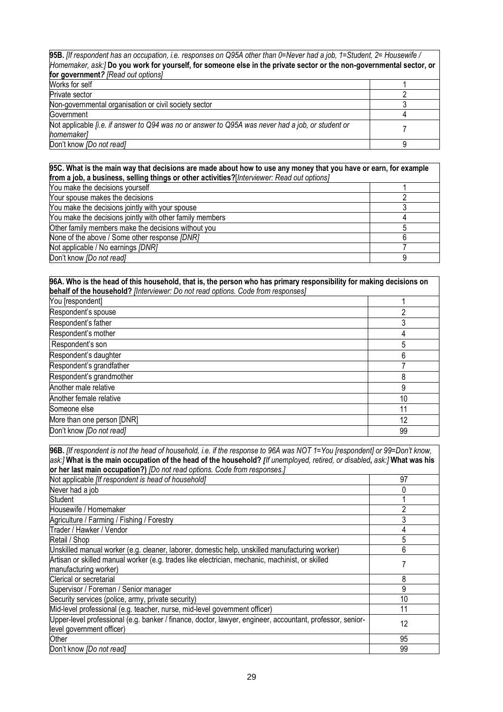| 95B. Ilf respondent has an occupation, i.e. responses on Q95A other than 0=Never had a job, 1=Student, 2= Housewife / |  |
|-----------------------------------------------------------------------------------------------------------------------|--|
| Homemaker, ask:/Do you work for yourself, for someone else in the private sector or the non-governmental sector, or   |  |
| for government? [Read out options]                                                                                    |  |
| Works for self                                                                                                        |  |
| Private sector                                                                                                        |  |

| ו וועמוכ סכטנטו                                                                                                        |  |
|------------------------------------------------------------------------------------------------------------------------|--|
| Non-governmental organisation or civil society sector                                                                  |  |
| Government                                                                                                             |  |
| Not applicable <i>[i.e. if answer to Q94 was no or answer to Q95A was never had a job, or student or</i><br>homemakerl |  |
| Don't know [Do not read]                                                                                               |  |

**95C. What is the main way that decisions are made about how to use any money that you have or earn, for example from a job, a business, selling things or other activities?**[*Interviewer: Read out options]*

| You make the decisions yourself                          |  |
|----------------------------------------------------------|--|
| Your spouse makes the decisions                          |  |
| You make the decisions jointly with your spouse          |  |
| You make the decisions jointly with other family members |  |
| Other family members make the decisions without you      |  |
| None of the above / Some other response [DNR]            |  |
| Not applicable / No earnings [DNR]                       |  |
| Don't know <i>[Do not read]</i>                          |  |

| 96A. Who is the head of this household, that is, the person who has primary responsibility for making decisions on |    |  |
|--------------------------------------------------------------------------------------------------------------------|----|--|
| behalf of the household? [Interviewer: Do not read options. Code from responses]                                   |    |  |
| You [respondent]                                                                                                   |    |  |
| Respondent's spouse                                                                                                |    |  |
| Respondent's father                                                                                                |    |  |
| Respondent's mother                                                                                                |    |  |
| Respondent's son                                                                                                   | 5  |  |
| Respondent's daughter                                                                                              | 6  |  |
| Respondent's grandfather                                                                                           |    |  |
| Respondent's grandmother                                                                                           | 8  |  |
| Another male relative                                                                                              | 9  |  |
| Another female relative                                                                                            | 10 |  |
| Someone else                                                                                                       | 11 |  |
| More than one person [DNR]                                                                                         | 12 |  |
| Don't know [Do not read]                                                                                           | 99 |  |

| 96B. [If respondent is not the head of household, i.e. if the response to 96A was NOT 1=You [respondent] or 99=Don't know, |    |
|----------------------------------------------------------------------------------------------------------------------------|----|
| ask:] What is the main occupation of the head of the household? [If unemployed, retired, or disabled, ask:] What was his   |    |
| or her last main occupation?) [Do not read options. Code from responses.]                                                  |    |
| Not applicable [If respondent is head of household]                                                                        | 97 |
| Never had a job                                                                                                            |    |
| Student                                                                                                                    |    |
| Housewife / Homemaker                                                                                                      | 2  |
| Agriculture / Farming / Fishing / Forestry                                                                                 | 3  |
| Trader / Hawker / Vendor                                                                                                   |    |
| Retail / Shop                                                                                                              | 5  |
| Unskilled manual worker (e.g. cleaner, laborer, domestic help, unskilled manufacturing worker)                             | 6  |
| Artisan or skilled manual worker (e.g. trades like electrician, mechanic, machinist, or skilled                            |    |
| manufacturing worker)                                                                                                      |    |
| Clerical or secretarial                                                                                                    | 8  |
| Supervisor / Foreman / Senior manager                                                                                      | 9  |
| Security services (police, army, private security)                                                                         | 10 |
| Mid-level professional (e.g. teacher, nurse, mid-level government officer)                                                 | 11 |
| Upper-level professional (e.g. banker / finance, doctor, lawyer, engineer, accountant, professor, senior-                  | 12 |
| level government officer)                                                                                                  |    |
| Other                                                                                                                      | 95 |
| Don't know <i>[Do not read]</i>                                                                                            | 99 |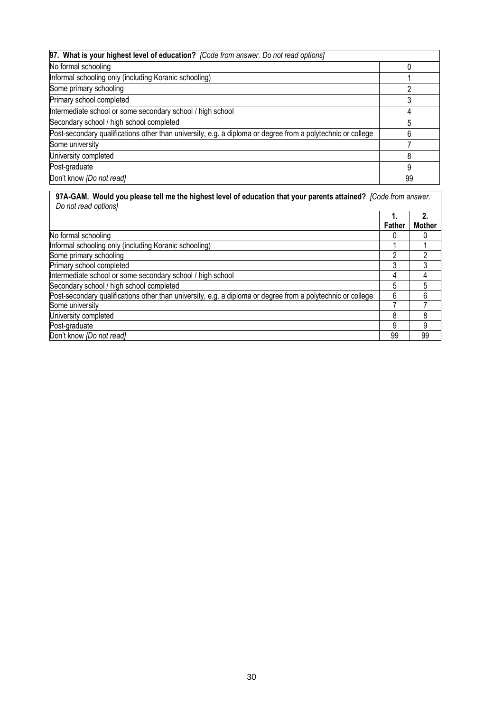| 97. What is your highest level of education? [Code from answer. Do not read options]                        |    |
|-------------------------------------------------------------------------------------------------------------|----|
| No formal schooling                                                                                         |    |
| Informal schooling only (including Koranic schooling)                                                       |    |
| Some primary schooling                                                                                      |    |
| Primary school completed                                                                                    |    |
| Intermediate school or some secondary school / high school                                                  |    |
| Secondary school / high school completed                                                                    |    |
| Post-secondary qualifications other than university, e.g. a diploma or degree from a polytechnic or college |    |
| Some university                                                                                             |    |
| University completed                                                                                        |    |
| Post-graduate                                                                                               | 9  |
| Don't know [Do not read]                                                                                    | 99 |

# **97A-GAM. Would you please tell me the highest level of education that your parents attained?** *[Code from answer. Do not read options]*

|                                                                                                             | Father | <b>Mother</b> |
|-------------------------------------------------------------------------------------------------------------|--------|---------------|
| No formal schooling                                                                                         |        |               |
| Informal schooling only (including Koranic schooling)                                                       |        |               |
| Some primary schooling                                                                                      | ∩      |               |
| Primary school completed                                                                                    |        |               |
| Intermediate school or some secondary school / high school                                                  | 4      |               |
| Secondary school / high school completed                                                                    | 5      |               |
| Post-secondary qualifications other than university, e.g. a diploma or degree from a polytechnic or college | 6      |               |
| Some university                                                                                             |        |               |
| University completed                                                                                        | 8      |               |
| Post-graduate                                                                                               | 9      | 9             |
| Don't know <i>[Do not read]</i>                                                                             | 99     | 99            |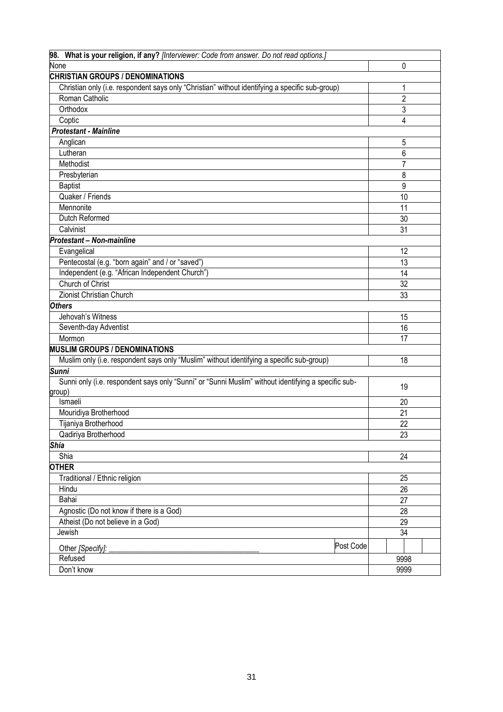| 98. What is your religion, if any? [Interviewer: Code from answer. Do not read options.]            |                |  |
|-----------------------------------------------------------------------------------------------------|----------------|--|
| None                                                                                                | 0              |  |
| <b>CHRISTIAN GROUPS / DENOMINATIONS</b>                                                             |                |  |
| Christian only (i.e. respondent says only "Christian" without identifying a specific sub-group)     | 1              |  |
| Roman Catholic                                                                                      | $\overline{c}$ |  |
| Orthodox                                                                                            | 3              |  |
| Coptic                                                                                              | 4              |  |
| <b>Protestant - Mainline</b>                                                                        |                |  |
| Anglican                                                                                            | 5              |  |
| Lutheran                                                                                            | 6              |  |
| Methodist                                                                                           | 7              |  |
| Presbyterian                                                                                        | 8              |  |
| <b>Baptist</b>                                                                                      | 9              |  |
| Quaker / Friends                                                                                    | 10             |  |
| Mennonite                                                                                           | 11             |  |
| Dutch Reformed                                                                                      | 30             |  |
| Calvinist                                                                                           | 31             |  |
| Protestant - Non-mainline                                                                           |                |  |
| Evangelical                                                                                         | 12             |  |
| Pentecostal (e.g. "born again" and / or "saved")                                                    | 13             |  |
| Independent (e.g. "African Independent Church")                                                     | 14             |  |
| Church of Christ                                                                                    | 32             |  |
| Zionist Christian Church                                                                            | 33             |  |
| <b>Others</b>                                                                                       |                |  |
| Jehovah's Witness                                                                                   | 15             |  |
| Seventh-day Adventist                                                                               | 16             |  |
| Mormon                                                                                              | 17             |  |
| <b>MUSLIM GROUPS / DENOMINATIONS</b>                                                                |                |  |
| Muslim only (i.e. respondent says only "Muslim" without identifying a specific sub-group)           | 18             |  |
| Sunni                                                                                               |                |  |
| Sunni only (i.e. respondent says only "Sunni" or "Sunni Muslim" without identifying a specific sub- | 19             |  |
| group)                                                                                              |                |  |
| Ismaeli                                                                                             | 20             |  |
| Mouridiya Brotherhood                                                                               | 21             |  |
| Tijaniya Brotherhood                                                                                | 22             |  |
| Qadiriya Brotherhood                                                                                | 23             |  |
| <b>Shia</b>                                                                                         |                |  |
| Shia                                                                                                | 24             |  |
| <b>OTHER</b>                                                                                        |                |  |
| Traditional / Ethnic religion                                                                       | 25             |  |
| Hindu                                                                                               | 26             |  |
| Bahai                                                                                               | 27             |  |
| Agnostic (Do not know if there is a God)                                                            | 28             |  |
| Atheist (Do not believe in a God)                                                                   | 29             |  |
| Jewish                                                                                              | 34             |  |
| Post Code<br>Other [Specify]:                                                                       |                |  |
| Refused                                                                                             | 9998           |  |
| Don't know                                                                                          | 9999           |  |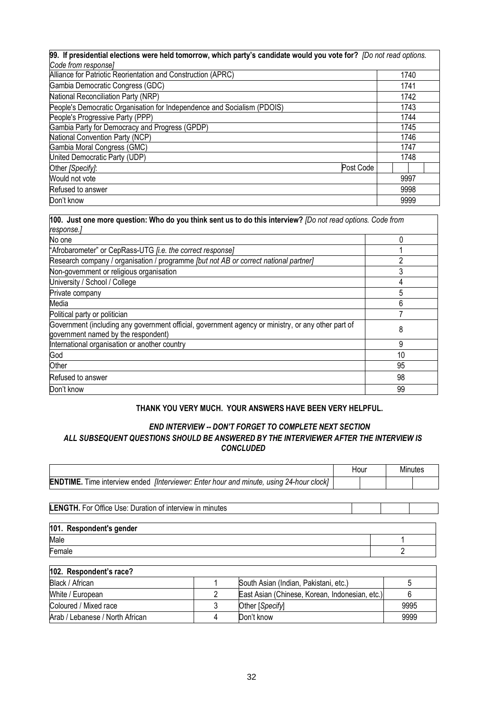| 99. If presidential elections were held tomorrow, which party's candidate would you vote for? [Do not read options. |      |      |  |
|---------------------------------------------------------------------------------------------------------------------|------|------|--|
| Code from response]                                                                                                 |      |      |  |
| Alliance for Patriotic Reorientation and Construction (APRC)                                                        |      | 1740 |  |
| Gambia Democratic Congress (GDC)                                                                                    | 1741 |      |  |
| National Reconciliation Party (NRP)                                                                                 |      | 1742 |  |
| People's Democratic Organisation for Independence and Socialism (PDOIS)                                             |      | 1743 |  |
| People's Progressive Party (PPP)                                                                                    |      | 1744 |  |
| Gambia Party for Democracy and Progress (GPDP)                                                                      |      | 1745 |  |
| National Convention Party (NCP)                                                                                     |      | 1746 |  |
| Gambia Moral Congress (GMC)                                                                                         | 1747 |      |  |
| United Democratic Party (UDP)                                                                                       |      | 1748 |  |
| Post Code<br>Other [Specify]:                                                                                       |      |      |  |
| Would not vote                                                                                                      | 9997 |      |  |
| Refused to answer                                                                                                   |      | 9998 |  |
| Don't know                                                                                                          |      | 9999 |  |

| 100. Just one more question: Who do you think sent us to do this interview? [Do not read options. Code from<br>response.]                 |    |
|-------------------------------------------------------------------------------------------------------------------------------------------|----|
| No one                                                                                                                                    | 0  |
| "Afrobarometer" or CepRass-UTG [i.e. the correct response]                                                                                |    |
| Research company / organisation / programme [but not AB or correct national partner]                                                      | 2  |
| Non-government or religious organisation                                                                                                  | 3  |
| University / School / College                                                                                                             |    |
| Private company                                                                                                                           | 5  |
| Media                                                                                                                                     | 6  |
| Political party or politician                                                                                                             |    |
| Government (including any government official, government agency or ministry, or any other part of<br>government named by the respondent) | 8  |
| International organisation or another country                                                                                             | 9  |
| God                                                                                                                                       | 10 |
| Other                                                                                                                                     | 95 |
| Refused to answer                                                                                                                         | 98 |
| Don't know                                                                                                                                | 99 |

#### **THANK YOU VERY MUCH. YOUR ANSWERS HAVE BEEN VERY HELPFUL.**

## *END INTERVIEW -- DON'T FORGET TO COMPLETE NEXT SECTION ALL SUBSEQUENT QUESTIONS SHOULD BE ANSWERED BY THE INTERVIEWER AFTER THE INTERVIEW IS CONCLUDED*

|                                                                                                       |   |                                                | Hour | Minutes |
|-------------------------------------------------------------------------------------------------------|---|------------------------------------------------|------|---------|
| <b>ENDTIME.</b> Time interview ended <i>[Interviewer: Enter hour and minute, using 24-hour clock]</i> |   |                                                |      |         |
|                                                                                                       |   |                                                |      |         |
| <b>LENGTH.</b> For Office Use: Duration of interview in minutes                                       |   |                                                |      |         |
|                                                                                                       |   |                                                |      |         |
| 101. Respondent's gender                                                                              |   |                                                |      |         |
| Male                                                                                                  |   |                                                |      |         |
| Female                                                                                                |   |                                                |      | 2       |
| 102. Respondent's race?                                                                               |   |                                                |      |         |
| Black / African                                                                                       |   | South Asian (Indian, Pakistani, etc.)          |      | 5       |
| White / European                                                                                      | 2 | East Asian (Chinese, Korean, Indonesian, etc.) |      | 6       |
| Coloured / Mixed race                                                                                 | 3 | Other [Specify]                                |      | 9995    |

Arab / Lebanese / North African 4 Don't know 9999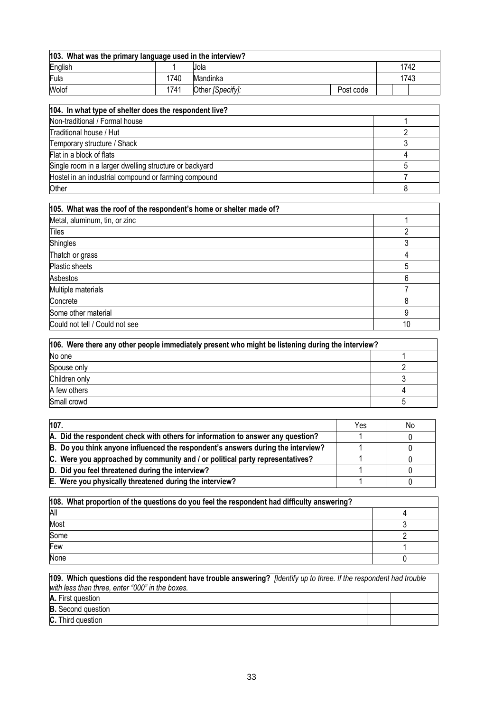| 103. What was the primary language used in the interview? |      |                  |           |      |  |
|-----------------------------------------------------------|------|------------------|-----------|------|--|
| English                                                   |      | Jola             |           | 1742 |  |
| Fula                                                      | 1740 | Mandinka         |           | 1743 |  |
| Wolof                                                     | 1741 | Other [Specify]: | Post code |      |  |

| 104. In what type of shelter does the respondent live? |  |
|--------------------------------------------------------|--|
| Non-traditional / Formal house                         |  |
| Traditional house / Hut                                |  |
| Temporary structure / Shack                            |  |
| Flat in a block of flats                               |  |
| Single room in a larger dwelling structure or backyard |  |
| Hostel in an industrial compound or farming compound   |  |
| Other                                                  |  |

| 105. What was the roof of the respondent's home or shelter made of? |    |
|---------------------------------------------------------------------|----|
| Metal, aluminum, tin, or zinc                                       |    |
| Tiles                                                               |    |
| Shingles                                                            | 3  |
| Thatch or grass                                                     | 4  |
| Plastic sheets                                                      | 5  |
| Asbestos                                                            | 6  |
| Multiple materials                                                  |    |
| Concrete                                                            | 8  |
| Some other material                                                 | 9  |
| Could not tell / Could not see                                      | 10 |

| 106. Were there any other people immediately present who might be listening during the interview? |  |  |
|---------------------------------------------------------------------------------------------------|--|--|
| No one                                                                                            |  |  |
| Spouse only                                                                                       |  |  |
| Children only                                                                                     |  |  |
| A few others                                                                                      |  |  |
| Small crowd                                                                                       |  |  |

| 107.                                                                             | Yes | No |
|----------------------------------------------------------------------------------|-----|----|
| A. Did the respondent check with others for information to answer any question?  |     |    |
| B. Do you think anyone influenced the respondent's answers during the interview? |     |    |
| C. Were you approached by community and / or political party representatives?    |     |    |
| D. Did you feel threatened during the interview?                                 |     |    |
| E. Were you physically threatened during the interview?                          |     |    |

| 108. What proportion of the questions do you feel the respondent had difficulty answering? |  |
|--------------------------------------------------------------------------------------------|--|
| All                                                                                        |  |
| Most                                                                                       |  |
| Some                                                                                       |  |
| Few                                                                                        |  |
| None                                                                                       |  |

| 109. Which questions did the respondent have trouble answering? <i>[Identify up to three. If the respondent had trouble</i> |  |  |
|-----------------------------------------------------------------------------------------------------------------------------|--|--|
| with less than three, enter "000" in the boxes.                                                                             |  |  |
| A. First question                                                                                                           |  |  |
| <b>B.</b> Second question                                                                                                   |  |  |
| <b>C.</b> Third question                                                                                                    |  |  |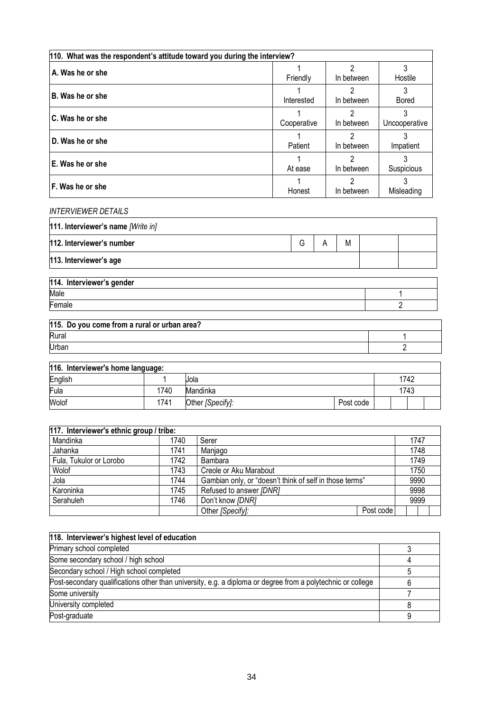| 110. What was the respondent's attitude toward you during the interview? |             |                 |                    |  |
|--------------------------------------------------------------------------|-------------|-----------------|--------------------|--|
| A. Was he or she                                                         | Friendly    | າ<br>In between | Hostile            |  |
| B. Was he or she                                                         | Interested  | າ<br>In between | Bored              |  |
| C. Was he or she                                                         | Cooperative | っ<br>In between | 3<br>Uncooperative |  |
| D. Was he or she                                                         | Patient     | っ<br>In between | Impatient          |  |
| E. Was he or she                                                         | At ease     | 2<br>In between | Suspicious         |  |
| F. Was he or she                                                         | Honest      | າ<br>In between | 3<br>Misleading    |  |

#### *INTERVIEWER DETAILS*

| 111. Interviewer's name [Write in] |   |   |  |
|------------------------------------|---|---|--|
| 112. Interviewer's number          | G | M |  |
| 113. Interviewer's age             |   |   |  |
| 114. Interviewer's gender          |   |   |  |

| וטשווטף ט וטאוז ושאוור הדרון |  |
|------------------------------|--|
| Male                         |  |
| -<br>Lemale                  |  |
|                              |  |

| 115. Do you come from a rural or urban area? |  |
|----------------------------------------------|--|
| Rural                                        |  |
| Urban                                        |  |

| 116. Interviewer's home language: |      |                  |           |  |      |  |
|-----------------------------------|------|------------------|-----------|--|------|--|
| English                           |      | Jola             |           |  | 1742 |  |
| Fula                              | 1740 | Mandinka         |           |  | 1743 |  |
| Wolof                             | 1741 | Other [Specify]: | Post code |  |      |  |

| 117. Interviewer's ethnic group / tribe: |      |                                                         |           |  |      |  |
|------------------------------------------|------|---------------------------------------------------------|-----------|--|------|--|
| Mandinka                                 | 1740 | Serer                                                   |           |  | 1747 |  |
| Jahanka                                  | 1741 | Manjago                                                 |           |  | 1748 |  |
| Fula, Tukulor or Lorobo                  | 1742 | Bambara                                                 |           |  | 1749 |  |
| Wolof                                    | 1743 | Creole or Aku Marabout                                  |           |  | 1750 |  |
| Jola                                     | 1744 | Gambian only, or "doesn't think of self in those terms" |           |  | 9990 |  |
| Karoninka                                | 1745 | Refused to answer [DNR]                                 |           |  | 9998 |  |
| Serahuleh                                | 1746 | Don't know [DNR]                                        |           |  | 9999 |  |
|                                          |      | Other [Specify]:                                        | Post code |  |      |  |

| 118. Interviewer's highest level of education                                                               |  |
|-------------------------------------------------------------------------------------------------------------|--|
| Primary school completed                                                                                    |  |
| Some secondary school / high school                                                                         |  |
| Secondary school / High school completed                                                                    |  |
| Post-secondary qualifications other than university, e.g. a diploma or degree from a polytechnic or college |  |
| Some university                                                                                             |  |
| University completed                                                                                        |  |
| Post-graduate                                                                                               |  |